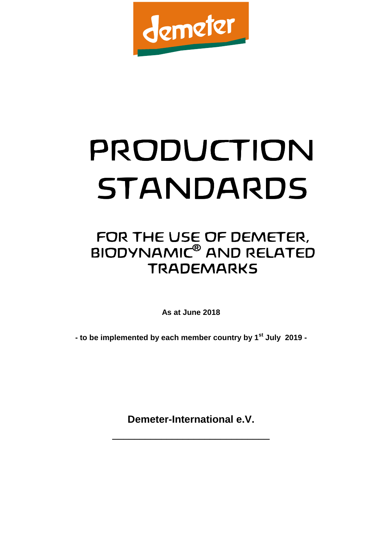

# PRODUCTION PRODUCTION STANDARDS

# FOR THE USE OF DEMETER, BIODYNAMIC® AND RELATED **TRADEMARKS**

**As at June 2018** 

**- to be implemented by each member country by 1st July 2019 -** 

**Demeter-International e.V.** 

 $\_$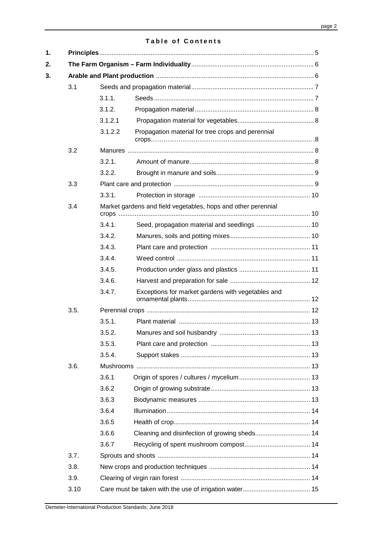#### **Table of Contents**

| 3.1  |         |                                                               |  |
|------|---------|---------------------------------------------------------------|--|
|      | 3.1.1.  |                                                               |  |
|      | 3.1.2.  |                                                               |  |
|      | 3.1.2.1 |                                                               |  |
|      | 3.1.2.2 | Propagation material for tree crops and perennial             |  |
| 3.2  |         |                                                               |  |
|      | 3.2.1.  |                                                               |  |
|      | 3.2.2.  |                                                               |  |
| 3.3  |         |                                                               |  |
|      | 3.3.1.  |                                                               |  |
| 3.4  |         | Market gardens and field vegetables, hops and other perennial |  |
|      | 3.4.1.  | Seed, propagation material and seedlings  10                  |  |
|      | 3.4.2.  |                                                               |  |
|      | 3.4.3.  |                                                               |  |
|      | 3.4.4.  |                                                               |  |
|      | 3.4.5.  |                                                               |  |
|      | 3.4.6.  |                                                               |  |
|      | 3.4.7.  | Exceptions for market gardens with vegetables and             |  |
| 3.5. |         |                                                               |  |
|      | 3.5.1.  |                                                               |  |
|      | 3.5.2.  |                                                               |  |
|      | 3.5.3.  |                                                               |  |
|      | 3.5.4.  |                                                               |  |
| 3.6. |         |                                                               |  |
|      | 3.6.1   |                                                               |  |
|      | 3.6.2   |                                                               |  |
|      | 3.6.3   |                                                               |  |
|      | 3.6.4   |                                                               |  |
|      | 3.6.5   |                                                               |  |
|      | 3.6.6   |                                                               |  |
|      | 3.6.7   |                                                               |  |
| 3.7. |         |                                                               |  |
| 3.8. |         |                                                               |  |
| 3.9. |         |                                                               |  |
| 3.10 |         |                                                               |  |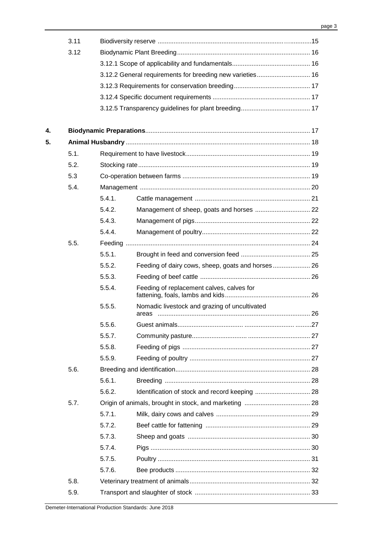|    | 3.11 |        |                                               |    |
|----|------|--------|-----------------------------------------------|----|
|    | 3.12 |        |                                               |    |
|    |      |        |                                               |    |
|    |      |        |                                               |    |
|    |      |        |                                               |    |
|    |      |        |                                               |    |
|    |      |        |                                               |    |
| 4. |      |        |                                               |    |
| 5. |      |        |                                               |    |
|    | 5.1. |        |                                               |    |
|    | 5.2. |        |                                               |    |
|    | 5.3  |        |                                               |    |
|    | 5.4. |        |                                               |    |
|    |      | 5.4.1. |                                               |    |
|    |      | 5.4.2. |                                               |    |
|    |      | 5.4.3. |                                               |    |
|    |      | 5.4.4. |                                               |    |
|    | 5.5. |        |                                               |    |
|    |      | 5.5.1. |                                               |    |
|    |      | 5.5.2. |                                               |    |
|    |      | 5.5.3. |                                               |    |
|    |      | 5.5.4. | Feeding of replacement calves, calves for     |    |
|    |      | 5.5.5. | Nomadic livestock and grazing of uncultivated |    |
|    |      | 5.5.6. | Guest animals.                                | 27 |
|    |      | 5.5.7. |                                               |    |
|    |      | 5.5.8. |                                               |    |
|    |      | 5.5.9. |                                               |    |
|    | 5.6. |        |                                               |    |
|    |      | 5.6.1. |                                               |    |
|    |      | 5.6.2. |                                               |    |
|    | 5.7. |        |                                               |    |
|    |      | 5.7.1. |                                               |    |
|    |      | 5.7.2. |                                               |    |
|    |      | 5.7.3. |                                               |    |
|    |      | 5.7.4. |                                               |    |
|    |      | 5.7.5. |                                               |    |
|    |      | 5.7.6. |                                               |    |
|    | 5.8. |        |                                               |    |
|    | 5.9. |        |                                               |    |
|    |      |        |                                               |    |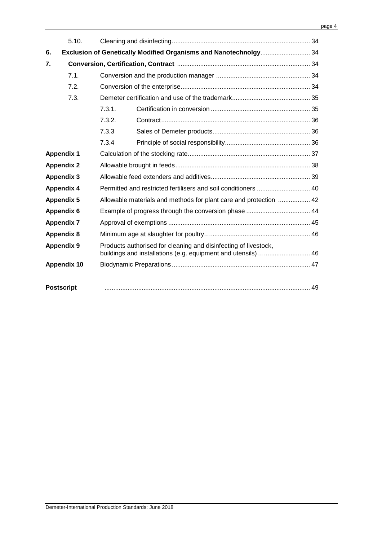|                   | 5.10.                                                            |        |                                                                                                                                 |  |
|-------------------|------------------------------------------------------------------|--------|---------------------------------------------------------------------------------------------------------------------------------|--|
| 6.                | Exclusion of Genetically Modified Organisms and Nanotechnolgy 34 |        |                                                                                                                                 |  |
| 7.                |                                                                  |        |                                                                                                                                 |  |
|                   | 7.1.                                                             |        |                                                                                                                                 |  |
|                   | 7.2.                                                             |        |                                                                                                                                 |  |
|                   | 7.3.                                                             |        |                                                                                                                                 |  |
|                   |                                                                  | 7.3.1. |                                                                                                                                 |  |
|                   |                                                                  | 7.3.2. |                                                                                                                                 |  |
|                   |                                                                  | 7.3.3  |                                                                                                                                 |  |
|                   |                                                                  | 7.3.4  |                                                                                                                                 |  |
| <b>Appendix 1</b> |                                                                  |        |                                                                                                                                 |  |
| <b>Appendix 2</b> |                                                                  |        |                                                                                                                                 |  |
| <b>Appendix 3</b> |                                                                  |        |                                                                                                                                 |  |
|                   | <b>Appendix 4</b>                                                |        | Permitted and restricted fertilisers and soil conditioners  40                                                                  |  |
|                   | <b>Appendix 5</b>                                                |        | Allowable materials and methods for plant care and protection  42                                                               |  |
|                   | <b>Appendix 6</b>                                                |        |                                                                                                                                 |  |
|                   | <b>Appendix 7</b>                                                |        |                                                                                                                                 |  |
|                   | <b>Appendix 8</b>                                                |        |                                                                                                                                 |  |
|                   | <b>Appendix 9</b>                                                |        | Products authorised for cleaning and disinfecting of livestock,<br>buildings and installations (e.g. equipment and utensils) 46 |  |
|                   | <b>Appendix 10</b>                                               |        |                                                                                                                                 |  |
|                   |                                                                  |        |                                                                                                                                 |  |
|                   | <b>Postscript</b>                                                |        |                                                                                                                                 |  |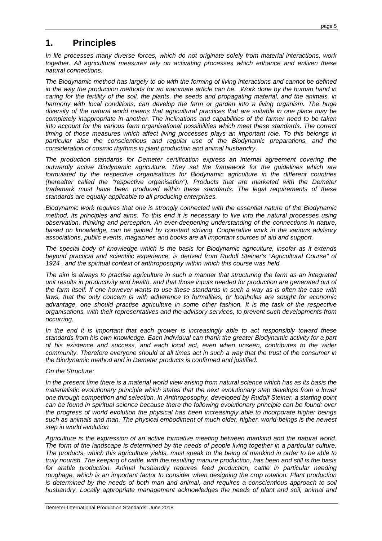# **1. Principles**

In life processes many diverse forces, which do not originate solely from material interactions, work together. All agricultural measures rely on activating processes which enhance and enliven these natural connections.

The Biodynamic method has largely to do with the forming of living interactions and cannot be defined in the way the production methods for an inanimate article can be. Work done by the human hand in caring for the fertility of the soil, the plants, the seeds and propagating material, and the animals, in harmony with local conditions, can develop the farm or garden into a living organism. The huge diversity of the natural world means that agricultural practices that are suitable in one place may be completely inappropriate in another. The inclinations and capabilities of the farmer need to be taken into account for the various farm organisational possibilities which meet these standards. The correct timing of those measures which affect living processes plays an important role. To this belongs in particular also the conscientious and regular use of the Biodynamic preparations, and the consideration of cosmic rhythms in plant production and animal husbandry.

The production standards for Demeter certification express an internal agreement covering the outwardly active Biodynamic agriculture. They set the framework for the guidelines which are formulated by the respective organisations for Biodynamic agriculture in the different countries (hereafter called the "respective organisation"). Products that are marketed with the Demeter trademark must have been produced within these standards. The legal requirements of these standards are equally applicable to all producing enterprises.

Biodynamic work requires that one is strongly connected with the essential nature of the Biodynamic method, its principles and aims. To this end it is necessary to live into the natural processes using observation, thinking and perception. An ever-deepening understanding of the connections in nature, based on knowledge, can be gained by constant striving. Cooperative work in the various advisory associations, public events, magazines and books are all important sources of aid and support.

The special body of knowledge which is the basis for Biodynamic agriculture, insofar as it extends beyond practical and scientific experience, is derived from Rudolf Steiner's "Agricultural Course" of 1924 , and the spiritual context of anthroposophy within which this course was held.

The aim is always to practise agriculture in such a manner that structuring the farm as an integrated unit results in productivity and health, and that those inputs needed for production are generated out of the farm itself. If one however wants to use these standards in such a way as is often the case with laws, that the only concern is with adherence to formalities, or loopholes are sought for economic advantage, one should practise agriculture in some other fashion. It is the task of the respective organisations, with their representatives and the advisory services, to prevent such developments from occurring.

In the end it is important that each grower is increasingly able to act responsibly toward these standards from his own knowledge. Each individual can thank the greater Biodynamic activity for a part of his existence and success, and each local act, even when unseen, contributes to the wider community. Therefore everyone should at all times act in such a way that the trust of the consumer in the Biodynamic method and in Demeter products is confirmed and justified.

On the Structure:

In the present time there is a material world view arising from natural science which has as its basis the materialistic evolutionary principle which states that the next evolutionary step develops from a lower one through competition and selection. In Anthroposophy, developed by Rudolf Steiner, a starting point can be found in spiritual science because there the following evolutionary principle can be found: over the progress of world evolution the physical has been increasingly able to incorporate higher beings such as animals and man. The physical embodiment of much older, higher, world-beings is the newest step in world evolution

Agriculture is the expression of an active formative meeting between mankind and the natural world. The form of the landscape is determined by the needs of people living together in a particular culture. The products, which this agriculture yields, must speak to the being of mankind in order to be able to truly nourish. The keeping of cattle, with the resulting manure production, has been and still is the basis for arable production. Animal husbandry requires feed production, cattle in particular needing roughage, which is an important factor to consider when designing the crop rotation. Plant production is determined by the needs of both man and animal, and requires a conscientious approach to soil husbandry. Locally appropriate management acknowledges the needs of plant and soil, animal and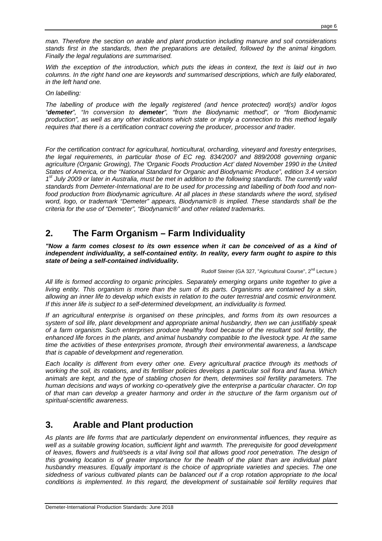man. Therefore the section on arable and plant production including manure and soil considerations stands first in the standards, then the preparations are detailed, followed by the animal kingdom. Finally the legal regulations are summarised.

With the exception of the introduction, which puts the ideas in context, the text is laid out in two columns. In the right hand one are keywords and summarised descriptions, which are fully elaborated, in the left hand one.

On labelling:

The labelling of produce with the legally registered (and hence protected) word(s) and/or logos "**demeter**", "In conversion to **demeter**", "from the Biodynamic method", or "from Biodynamic production", as well as any other indications which state or imply a connection to this method legally requires that there is a certification contract covering the producer, processor and trader.

For the certification contract for agricultural, horticultural, orcharding, vineyard and forestry enterprises, the legal requirements, in particular those of EC reg. 834/2007 and 889/2008 governing organic agriculture (Organic Growing), The 'Organic Foods Production Act' dated November 1990 in the United States of America, or the "National Standard for Organic and Biodynamic Produce", edition 3.4 version 1<sup>st</sup> July 2009 or later in Australia, must be met in addition to the following standards. The currently valid standards from Demeter-International are to be used for processing and labelling of both food and nonfood production from Biodynamic agriculture. At all places in these standards where the word, stylised word, logo, or trademark "Demeter" appears, Biodynamic® is implied. These standards shall be the criteria for the use of "Demeter", "Biodynamic®" and other related trademarks.

# **2. The Farm Organism – Farm Individuality**

**"Now a farm comes closest to its own essence when it can be conceived of as a kind of independent individuality, a self-contained entity. In reality, every farm ought to aspire to this state of being a self-contained individuality.** 

Rudolf Steiner (GA 327, "Agricultural Course", 2<sup>nd</sup> Lecture.)

All life is formed according to organic principles. Separately emerging organs unite together to give a living entity. This organism is more than the sum of its parts. Organisms are contained by a skin, allowing an inner life to develop which exists in relation to the outer terrestrial and cosmic environment. If this inner life is subject to a self-determined development, an individuality is formed.

If an agricultural enterprise is organised on these principles, and forms from its own resources a system of soil life, plant development and appropriate animal husbandry, then we can justifiably speak of a farm organism. Such enterprises produce healthy food because of the resultant soil fertility, the enhanced life forces in the plants, and animal husbandry compatible to the livestock type. At the same time the activities of these enterprises promote, through their environmental awareness, a landscape that is capable of development and regeneration.

Each locality is different from every other one. Every agricultural practice through its methods of working the soil, its rotations, and its fertiliser policies develops a particular soil flora and fauna. Which animals are kept, and the type of stabling chosen for them, determines soil fertility parameters. The human decisions and ways of working co-operatively give the enterprise a particular character. On top of that man can develop a greater harmony and order in the structure of the farm organism out of spiritual-scientific awareness.

# **3. Arable and Plant production**

As plants are life forms that are particularly dependent on environmental influences, they require as well as a suitable growing location, sufficient light and warmth. The prerequisite for good development of leaves, flowers and fruit/seeds is a vital living soil that allows good root penetration. The design of this growing location is of greater importance for the health of the plant than are individual plant husbandry measures. Equally important is the choice of appropriate varieties and species. The one sidedness of various cultivated plants can be balanced out if a crop rotation appropriate to the local conditions is implemented. In this regard, the development of sustainable soil fertility requires that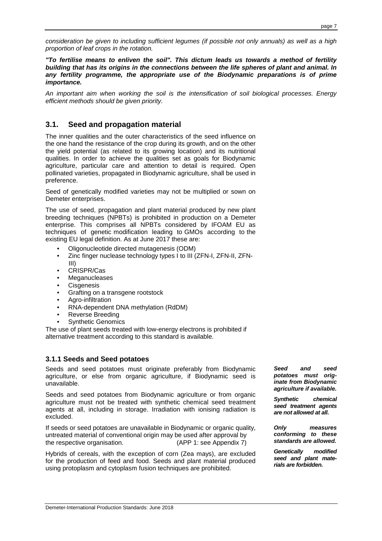consideration be given to including sufficient legumes (if possible not only annuals) as well as a high proportion of leaf crops in the rotation.

**"To fertilise means to enliven the soil". This dictum leads us towards a method of fertility building that has its origins in the connections between the life spheres of plant and animal. In any fertility programme, the appropriate use of the Biodynamic preparations is of prime importance.**

An important aim when working the soil is the intensification of soil biological processes. Energy efficient methods should be given priority.

# **3.1. Seed and propagation material**

The inner qualities and the outer characteristics of the seed influence on the one hand the resistance of the crop during its growth, and on the other the yield potential (as related to its growing location) and its nutritional qualities. In order to achieve the qualities set as goals for Biodynamic agriculture, particular care and attention to detail is required. Open pollinated varieties, propagated in Biodynamic agriculture, shall be used in preference.

Seed of genetically modified varieties may not be multiplied or sown on Demeter enterprises.

The use of seed, propagation and plant material produced by new plant breeding techniques (NPBTs) is prohibited in production on a Demeter enterprise. This comprises all NPBTs considered by IFOAM EU as techniques of genetic modification leading to GMOs according to the existing EU legal definition. As at June 2017 these are:

- Oligonucleotide directed mutagenesis (ODM)
- Zinc finger nuclease technology types I to III (ZFN-I, ZFN-II, ZFN-III)
- CRISPR/Cas
- **Meganucleases**
- **Cisgenesis**
- Grafting on a transgene rootstock
- Agro-infiltration
- RNA-dependent DNA methylation (RdDM)
- Reverse Breeding
- Synthetic Genomics

The use of plant seeds treated with low-energy electrons is prohibited if alternative treatment according to this standard is available.

#### **3.1.1 Seeds and Seed potatoes**

Seeds and seed potatoes must originate preferably from Biodynamic agriculture, or else from organic agriculture, if Biodynamic seed is unavailable.

Seeds and seed potatoes from Biodynamic agriculture or from organic agriculture must not be treated with synthetic chemical seed treatment agents at all, including in storage. Irradiation with ionising radiation is excluded.

If seeds or seed potatoes are unavailable in Biodynamic or organic quality, untreated material of conventional origin may be used after approval by the respective organisation. (APP 1: see Appendix 7)

Hybrids of cereals, with the exception of corn (Zea mays), are excluded for the production of feed and food. Seeds and plant material produced using protoplasm and cytoplasm fusion techniques are prohibited.

**Seed and seed potatoes must originate from Biodynamic agriculture if available.** 

**Synthetic chemical seed treatment agents are not allowed at all.** 

**Only measures conforming to these standards are allowed.** 

**Genetically modified seed and plant materials are forbidden.**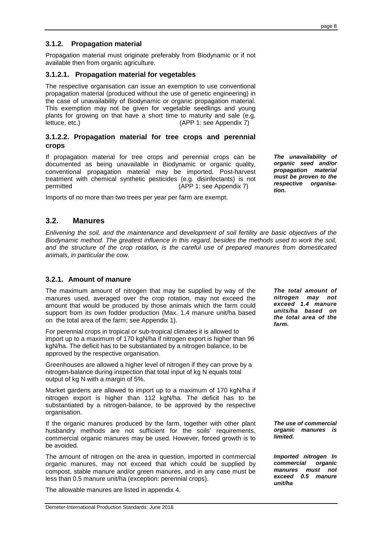# Demeter-International Production Standards: June 2018

#### **3.1.2. Propagation material**

Propagation material must originate preferably from Biodynamic or if not available then from organic agriculture.

#### **3.1.2.1. Propagation material for vegetables**

The respective organisation can issue an exemption to use conventional propagation material (produced without the use of genetic engineering) in the case of unavailability of Biodynamic or organic propagation material. This exemption may not be given for vegetable seedlings and young plants for growing on that have a short time to maturity and sale (e.g. lettuce, etc.) (APP 1: see Appendix 7)

#### **3.1.2.2. Propagation material for tree crops and perennial crops**

If propagation material for tree crops and perennial crops can be documented as being unavailable in Biodynamic or organic quality, conventional propagation material may be imported. Post-harvest treatment with chemical synthetic pesticides (e.g. disinfectants) is not permitted (APP 1: see Appendix 7)

Imports of no more than two trees per year per farm are exempt.

#### **3.2. Manures**

Enlivening the soil, and the maintenance and development of soil fertility are basic objectives of the Biodynamic method. The greatest influence in this regard, besides the methods used to work the soil, and the structure of the crop rotation, is the careful use of prepared manures from domesticated animals, in particular the cow.

#### **3.2.1. Amount of manure**

The maximum amount of nitrogen that may be supplied by way of the manures used, averaged over the crop rotation, may not exceed the amount that would be produced by those animals which the farm could support from its own fodder production (Max. 1.4 manure unit/ha based on the total area of the farm; see Appendix 1).

For perennial crops in tropical or sub-tropical climates it is allowed to import up to a maximum of 170 kgN/ha if nitrogen export is higher than 96 kgN/ha. The deficit has to be substantiated by a nitrogen balance, to be approved by the respective organisation.

Greenhouses are allowed a higher level of nitrogen if they can prove by a nitrogen-balance during inspection that total input of kg N equals total output of kg N with a margin of 5%.

Market gardens are allowed to import up to a maximum of 170 kgN/ha if nitrogen export is higher than 112 kgN/ha. The deficit has to be substantiated by a nitrogen-balance, to be approved by the respective organisation.

If the organic manures produced by the farm, together with other plant husbandry methods are not sufficient for the soils' requirements, commercial organic manures may be used. However, forced growth is to be avoided.

The amount of nitrogen on the area in question, imported in commercial organic manures, may not exceed that which could be supplied by compost, stable manure and/or green manures, and in any case must be less than 0.5 manure unit/ha (exception: perennial crops).

The allowable manures are listed in appendix 4.

**The total amount of nitrogen may not exceed 1.4 manure units/ha based on the total area of the farm.** 

**The unavailability of organic seed and/or propagation material must be proven to the respective organisa-**

**tion.** 

**The use of commercial organic manures is limited.** 

**Imported nitrogen In commercial organic manures must not exceed 0.5 manure unit/ha**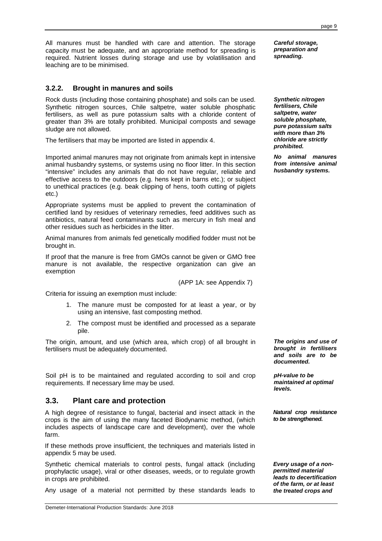All manures must be handled with care and attention. The storage capacity must be adequate, and an appropriate method for spreading is required. Nutrient losses during storage and use by volatilisation and leaching are to be minimised.

## **3.2.2. Brought in manures and soils**

Rock dusts (including those containing phosphate) and soils can be used. Synthetic nitrogen sources, Chile saltpetre, water soluble phosphatic fertilisers, as well as pure potassium salts with a chloride content of greater than 3% are totally prohibited. Municipal composts and sewage sludge are not allowed.

The fertilisers that may be imported are listed in appendix 4.

Imported animal manures may not originate from animals kept in intensive animal husbandry systems, or systems using no floor litter. In this section "intensive" includes any animals that do not have regular, reliable and effective access to the outdoors (e.g. hens kept in barns etc.); or subject to unethical practices (e.g. beak clipping of hens, tooth cutting of piglets etc.)

Appropriate systems must be applied to prevent the contamination of certified land by residues of veterinary remedies, feed additives such as antibiotics, natural feed contaminants such as mercury in fish meal and other residues such as herbicides in the litter.

Animal manures from animals fed genetically modified fodder must not be brought in.

If proof that the manure is free from GMOs cannot be given or GMO free manure is not available, the respective organization can give an exemption

(APP 1A: see Appendix 7)

Criteria for issuing an exemption must include:

- 1. The manure must be composted for at least a year, or by using an intensive, fast composting method.
- 2. The compost must be identified and processed as a separate pile.

The origin, amount, and use (which area, which crop) of all brought in fertilisers must be adequately documented.

Soil pH is to be maintained and regulated according to soil and crop requirements. If necessary lime may be used.

#### **3.3. Plant care and protection**

A high degree of resistance to fungal, bacterial and insect attack in the crops is the aim of using the many faceted Biodynamic method, (which includes aspects of landscape care and development), over the whole farm.

If these methods prove insufficient, the techniques and materials listed in appendix 5 may be used.

Synthetic chemical materials to control pests, fungal attack (including prophylactic usage), viral or other diseases, weeds, or to regulate growth in crops are prohibited.

Any usage of a material not permitted by these standards leads to

**Careful storage, preparation and spreading.** 

**Synthetic nitrogen fertilisers, Chile saltpetre, water soluble phosphate, pure potassium salts with more than 3% chloride are strictly prohibited.** 

**No animal manures from intensive animal husbandry systems.** 

**The origins and use of brought in fertilisers and soils are to be documented.** 

**pH-value to be maintained at optimal levels.** 

**Natural crop resistance to be strengthened.**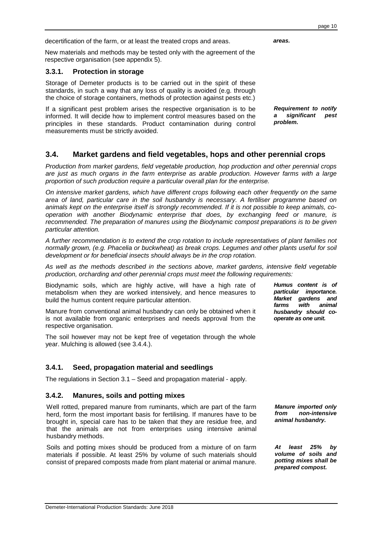page 10

New materials and methods may be tested only with the agreement of the respective organisation (see appendix 5).

decertification of the farm, or at least the treated crops and areas.

#### **3.3.1. Protection in storage**

Storage of Demeter products is to be carried out in the spirit of these standards, in such a way that any loss of quality is avoided (e.g. through the choice of storage containers, methods of protection against pests etc.)

If a significant pest problem arises the respective organisation is to be informed. It will decide how to implement control measures based on the principles in these standards. Product contamination during control measurements must be strictly avoided.

# **3.4. Market gardens and field vegetables, hops and other perennial crops**

Production from market gardens, field vegetable production, hop production and other perennial crops are just as much organs in the farm enterprise as arable production. However farms with a large proportion of such production require a particular overall plan for the enterprise.

On intensive market gardens, which have different crops following each other frequently on the same area of land, particular care in the soil husbandry is necessary. A fertiliser programme based on animals kept on the enterprise itself is strongly recommended. If it is not possible to keep animals, cooperation with another Biodynamic enterprise that does, by exchanging feed or manure, is recommended. The preparation of manures using the Biodynamic compost preparations is to be given particular attention.

A further recommendation is to extend the crop rotation to include representatives of plant families not normally grown, (e.g. Phacelia or buckwheat) as break crops. Legumes and other plants useful for soil development or for beneficial insects should always be in the crop rotation.

As well as the methods described in the sections above, market gardens, intensive field vegetable production, orcharding and other perennial crops must meet the following requirements:

Biodynamic soils, which are highly active, will have a high rate of metabolism when they are worked intensively, and hence measures to build the humus content require particular attention.

Manure from conventional animal husbandry can only be obtained when it is not available from organic enterprises and needs approval from the respective organisation.

The soil however may not be kept free of vegetation through the whole year. Mulching is allowed (see 3.4.4.).

# **3.4.1. Seed, propagation material and seedlings**

The regulations in Section 3.1 – Seed and propagation material - apply.

#### **3.4.2. Manures, soils and potting mixes**

Well rotted, prepared manure from ruminants, which are part of the farm herd, form the most important basis for fertilising. If manures have to be brought in, special care has to be taken that they are residue free, and that the animals are not from enterprises using intensive animal husbandry methods.

Soils and potting mixes should be produced from a mixture of on farm materials if possible. At least 25% by volume of such materials should consist of prepared composts made from plant material or animal manure.

**Manure imported only from non-intensive animal husbandry.** 

**Humus content is of particular importance. Market gardens and farms with animal husbandry should cooperate as one unit.** 

**At least 25% by volume of soils and potting mixes shall be prepared compost.** 

**areas.** 

**problem.** 

**Requirement to notify a significant pest**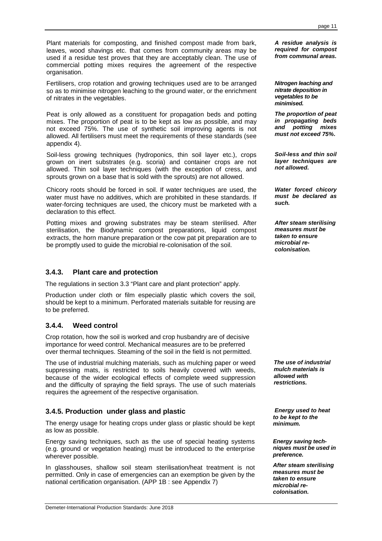Plant materials for composting, and finished compost made from bark, leaves, wood shavings etc. that comes from community areas may be used if a residue test proves that they are acceptably clean. The use of commercial potting mixes requires the agreement of the respective organisation.

Fertilisers, crop rotation and growing techniques used are to be arranged so as to minimise nitrogen leaching to the ground water, or the enrichment of nitrates in the vegetables.

Peat is only allowed as a constituent for propagation beds and potting mixes. The proportion of peat is to be kept as low as possible, and may not exceed 75%. The use of synthetic soil improving agents is not allowed. All fertilisers must meet the requirements of these standards (see appendix 4).

Soil-less growing techniques (hydroponics, thin soil layer etc.), crops grown on inert substrates (e.g. scoria) and container crops are not allowed. Thin soil layer techniques (with the exception of cress, and sprouts grown on a base that is sold with the sprouts) are not allowed.

Chicory roots should be forced in soil. If water techniques are used, the water must have no additives, which are prohibited in these standards. If water-forcing techniques are used, the chicory must be marketed with a declaration to this effect.

Potting mixes and growing substrates may be steam sterilised. After sterilisation, the Biodynamic compost preparations, liquid compost extracts, the horn manure preparation or the cow pat pit preparation are to be promptly used to guide the microbial re-colonisation of the soil.

## **3.4.3. Plant care and protection**

The regulations in section 3.3 "Plant care and plant protection" apply.

Production under cloth or film especially plastic which covers the soil, should be kept to a minimum. Perforated materials suitable for reusing are to be preferred.

#### **3.4.4. Weed control**

Crop rotation, how the soil is worked and crop husbandry are of decisive importance for weed control. Mechanical measures are to be preferred over thermal techniques. Steaming of the soil in the field is not permitted.

The use of industrial mulching materials, such as mulching paper or weed suppressing mats, is restricted to soils heavily covered with weeds, because of the wider ecological effects of complete weed suppression and the difficulty of spraying the field sprays. The use of such materials requires the agreement of the respective organisation.

#### **3.4.5. Production under glass and plastic**

The energy usage for heating crops under glass or plastic should be kept as low as possible.

Energy saving techniques, such as the use of special heating systems (e.g. ground or vegetation heating) must be introduced to the enterprise wherever possible.

In glasshouses, shallow soil steam sterilisation/heat treatment is not permitted. Only in case of emergencies can an exemption be given by the national certification organisation. (APP 1B : see Appendix 7)

**A residue analysis is required for compost from communal areas.** 

**Nitrogen leaching and nitrate deposition in vegetables to be minimised.** 

**The proportion of peat in propagating beds and potting mixes must not exceed 75%.** 

**Soil-less and thin soil layer techniques are not allowed.** 

**Water forced chicory must be declared as such.** 

**After steam sterilising measures must be taken to ensure microbial recolonisation.** 

**The use of industrial mulch materials is allowed with restrictions.** 

 **Energy used to heat to be kept to the minimum.** 

**Energy saving techniques must be used in preference.** 

**After steam sterilising measures must be taken to ensure microbial recolonisation.**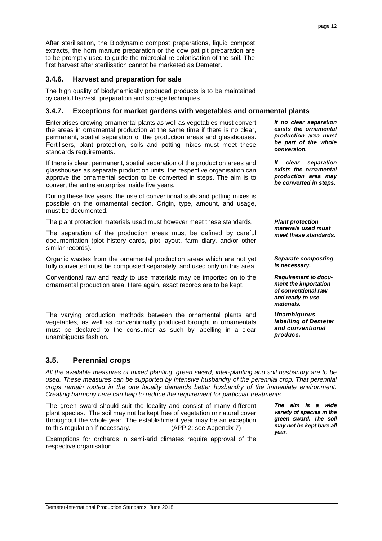After sterilisation, the Biodynamic compost preparations, liquid compost extracts, the horn manure preparation or the cow pat pit preparation are to be promptly used to guide the microbial re-colonisation of the soil. The first harvest after sterilisation cannot be marketed as Demeter.

# **3.4.6. Harvest and preparation for sale**

The high quality of biodynamically produced products is to be maintained by careful harvest, preparation and storage techniques.

#### **3.4.7. Exceptions for market gardens with vegetables and ornamental plants**

Enterprises growing ornamental plants as well as vegetables must convert the areas in ornamental production at the same time if there is no clear, permanent, spatial separation of the production areas and glasshouses. Fertilisers, plant protection, soils and potting mixes must meet these standards requirements.

If there is clear, permanent, spatial separation of the production areas and glasshouses as separate production units, the respective organisation can approve the ornamental section to be converted in steps. The aim is to convert the entire enterprise inside five years.

During these five years, the use of conventional soils and potting mixes is possible on the ornamental section. Origin, type, amount, and usage, must be documented.

The plant protection materials used must however meet these standards.

The separation of the production areas must be defined by careful documentation (plot history cards, plot layout, farm diary, and/or other similar records).

Organic wastes from the ornamental production areas which are not yet fully converted must be composted separately, and used only on this area.

Conventional raw and ready to use materials may be imported on to the ornamental production area. Here again, exact records are to be kept.

The varying production methods between the ornamental plants and vegetables, as well as conventionally produced brought in ornamentals must be declared to the consumer as such by labelling in a clear unambiguous fashion.

# **3.5. Perennial crops**

All the available measures of mixed planting, green sward, inter-planting and soil husbandry are to be used. These measures can be supported by intensive husbandry of the perennial crop. That perennial crops remain rooted in the one locality demands better husbandry of the immediate environment. Creating harmony here can help to reduce the requirement for particular treatments.

The green sward should suit the locality and consist of many different plant species. The soil may not be kept free of vegetation or natural cover throughout the whole year. The establishment year may be an exception to this regulation if necessary. (APP 2: see Appendix 7)

Exemptions for orchards in semi-arid climates require approval of the respective organisation.

**If no clear separation exists the ornamental production area must be part of the whole conversion.** 

**If clear separation exists the ornamental production area may be converted in steps.** 

**Plant protection materials used must meet these standards.** 

**Separate composting is necessary.** 

**Requirement to document the importation of conventional raw and ready to use materials.** 

**Unambiguous labelling of Demeter and conventional produce.** 

**The aim is a wide variety of species in the green sward. The soil may not be kept bare all year.**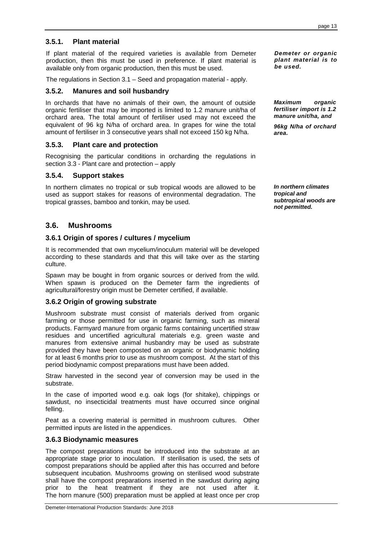# **3.5.1. Plant material**

If plant material of the required varieties is available from Demeter production, then this must be used in preference. If plant material is available only from organic production, then this must be used.

The regulations in Section 3.1 – Seed and propagation material - apply.

## **3.5.2. Manures and soil husbandry**

In orchards that have no animals of their own, the amount of outside organic fertiliser that may be imported is limited to 1.2 manure unit/ha of orchard area. The total amount of fertiliser used may not exceed the equivalent of 96 kg N/ha of orchard area. In grapes for wine the total amount of fertiliser in 3 consecutive years shall not exceed 150 kg N/ha.

#### **3.5.3. Plant care and protection**

Recognising the particular conditions in orcharding the regulations in section 3.3 - Plant care and protection – apply

#### **3.5.4. Support stakes**

In northern climates no tropical or sub tropical woods are allowed to be used as support stakes for reasons of environmental degradation. The tropical grasses, bamboo and tonkin, may be used.

# **3.6. Mushrooms**

#### **3.6.1 Origin of spores / cultures / mycelium**

It is recommended that own mycelium/inoculum material will be developed according to these standards and that this will take over as the starting culture.

Spawn may be bought in from organic sources or derived from the wild. When spawn is produced on the Demeter farm the ingredients of agricultural/forestry origin must be Demeter certified, if available.

#### **3.6.2 Origin of growing substrate**

Mushroom substrate must consist of materials derived from organic farming or those permitted for use in organic farming, such as mineral products. Farmyard manure from organic farms containing uncertified straw residues and uncertified agricultural materials e.g. green waste and manures from extensive animal husbandry may be used as substrate provided they have been composted on an organic or biodynamic holding for at least 6 months prior to use as mushroom compost. At the start of this period biodynamic compost preparations must have been added.

Straw harvested in the second year of conversion may be used in the substrate.

In the case of imported wood e.g. oak logs (for shitake), chippings or sawdust, no insecticidal treatments must have occurred since original felling.

Peat as a covering material is permitted in mushroom cultures. Other permitted inputs are listed in the appendices.

#### **3.6.3 Biodynamic measures**

The compost preparations must be introduced into the substrate at an appropriate stage prior to inoculation. If sterilisation is used, the sets of compost preparations should be applied after this has occurred and before subsequent incubation. Mushrooms growing on sterilised wood substrate shall have the compost preparations inserted in the sawdust during aging prior to the heat treatment if they are not used after it. The horn manure (500) preparation must be applied at least once per crop

**Demeter or organic plant material is to be used.** 

**Maximum organic fertiliser import is 1.2 manure unit/ha, and** 

**96kg N/ha of orchard area.** 

**In northern climates tropical and subtropical woods are not permitted.**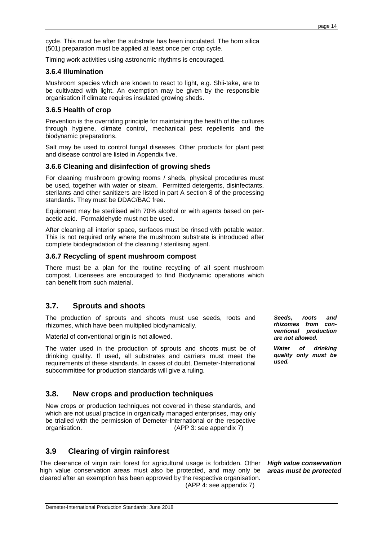cycle. This must be after the substrate has been inoculated. The horn silica (501) preparation must be applied at least once per crop cycle.

Timing work activities using astronomic rhythms is encouraged.

#### **3.6.4 Illumination**

Mushroom species which are known to react to light, e.g. Shii-take, are to be cultivated with light. An exemption may be given by the responsible organisation if climate requires insulated growing sheds.

#### **3.6.5 Health of crop**

Prevention is the overriding principle for maintaining the health of the cultures through hygiene, climate control, mechanical pest repellents and the biodynamic preparations.

Salt may be used to control fungal diseases. Other products for plant pest and disease control are listed in Appendix five.

#### **3.6.6 Cleaning and disinfection of growing sheds**

For cleaning mushroom growing rooms / sheds, physical procedures must be used, together with water or steam. Permitted detergents, disinfectants, sterilants and other sanitizers are listed in part A section 8 of the processing standards. They must be DDAC/BAC free.

Equipment may be sterilised with 70% alcohol or with agents based on peracetic acid. Formaldehyde must not be used.

After cleaning all interior space, surfaces must be rinsed with potable water. This is not required only where the mushroom substrate is introduced after complete biodegradation of the cleaning / sterilising agent.

#### **3.6.7 Recycling of spent mushroom compost**

There must be a plan for the routine recycling of all spent mushroom compost. Licensees are encouraged to find Biodynamic operations which can benefit from such material.

# **3.7. Sprouts and shoots**

The production of sprouts and shoots must use seeds, roots and rhizomes, which have been multiplied biodynamically.

Material of conventional origin is not allowed.

The water used in the production of sprouts and shoots must be of drinking quality. If used, all substrates and carriers must meet the requirements of these standards. In cases of doubt, Demeter-International subcommittee for production standards will give a ruling.

# **3.8. New crops and production techniques**

New crops or production techniques not covered in these standards, and which are not usual practice in organically managed enterprises, may only be trialled with the permission of Demeter-International or the respective organisation. (APP 3: see appendix 7)

# **3.9 Clearing of virgin rainforest**

The clearance of virgin rain forest for agricultural usage is forbidden. Other high value conservation areas must also be protected, and may only be cleared after an exemption has been approved by the respective organisation. (APP 4: see appendix 7)

**Seeds, roots and rhizomes from conventional production are not allowed.** 

**Water of drinking quality only must be used.** 

**High value conservation areas must be protected**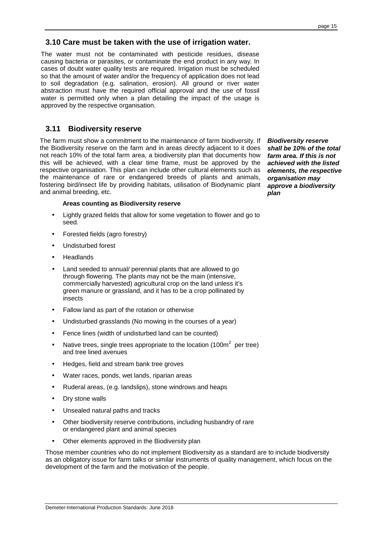# **3.10 Care must be taken with the use of irrigation water.**

The water must not be contaminated with pesticide residues, disease causing bacteria or parasites, or contaminate the end product in any way. In cases of doubt water quality tests are required. Irrigation must be scheduled so that the amount of water and/or the frequency of application does not lead to soil degradation (e.g. salination, erosion). All ground or river water abstraction must have the required official approval and the use of fossil water is permitted only when a plan detailing the impact of the usage is approved by the respective organisation.

#### **3.11 Biodiversity reserve**

The farm must show a commitment to the maintenance of farm biodiversity. If the Biodiversity reserve on the farm and in areas directly adjacent to it does not reach 10% of the total farm area, a biodiversity plan that documents how this will be achieved, with a clear time frame, must be approved by the respective organisation. This plan can include other cultural elements such as the maintenance of rare or endangered breeds of plants and animals, fostering bird/insect life by providing habitats, utilisation of Biodynamic plant and animal breeding, etc.

#### **Areas counting as Biodiversity reserve**

- Lightly grazed fields that allow for some vegetation to flower and go to seed.
- Forested fields (agro forestry)
- Undisturbed forest
- **Headlands**
- Land seeded to annual/ perennial plants that are allowed to go through flowering. The plants may not be the main (intensive, commercially harvested) agricultural crop on the land unless it's green manure or grassland, and it has to be a crop pollinated by insects
- Fallow land as part of the rotation or otherwise
- Undisturbed grasslands (No mowing in the courses of a year)
- Fence lines (width of undisturbed land can be counted)
- Native trees, single trees appropriate to the location (100 $m^2$  per tree) and tree lined avenues
- Hedges, field and stream bank tree groves
- Water races, ponds, wet lands, riparian areas
- Ruderal areas, (e.g. landslips), stone windrows and heaps
- Drv stone walls
- Unsealed natural paths and tracks
- Other biodiversity reserve contributions, including husbandry of rare or endangered plant and animal species
- Other elements approved in the Biodiversity plan

Those member countries who do not implement Biodiversity as a standard are to include biodiversity as an obligatory issue for farm talks or similar instruments of quality management, which focus on the development of the farm and the motivation of the people.

**Biodiversity reserve shall be 10% of the total farm area. If this is not achieved with the listed elements, the respective organisation may approve a biodiversity plan**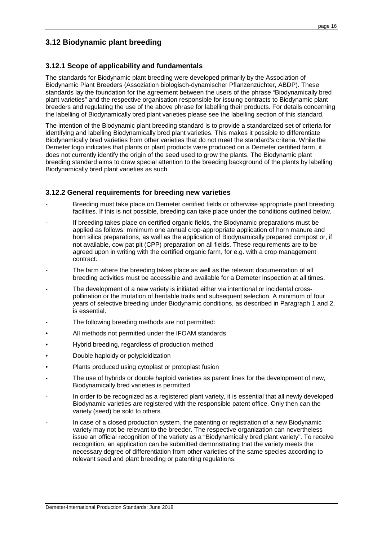# **3.12 Biodynamic plant breeding**

## **3.12.1 Scope of applicability and fundamentals**

The standards for Biodynamic plant breeding were developed primarily by the Association of Biodynamic Plant Breeders (Assoziation biologisch-dynamischer Pflanzenzüchter, ABDP). These standards lay the foundation for the agreement between the users of the phrase "Biodynamically bred plant varieties" and the respective organisation responsible for issuing contracts to Biodynamic plant breeders and regulating the use of the above phrase for labelling their products. For details concerning the labelling of Biodynamically bred plant varieties please see the labelling section of this standard.

The intention of the Biodynamic plant breeding standard is to provide a standardized set of criteria for identifying and labelling Biodynamically bred plant varieties. This makes it possible to differentiate Biodynamically bred varieties from other varieties that do not meet the standard's criteria. While the Demeter logo indicates that plants or plant products were produced on a Demeter certified farm, it does not currently identify the origin of the seed used to grow the plants. The Biodynamic plant breeding standard aims to draw special attention to the breeding background of the plants by labelling Biodynamically bred plant varieties as such.

#### **3.12.2 General requirements for breeding new varieties**

- Breeding must take place on Demeter certified fields or otherwise appropriate plant breeding facilities. If this is not possible, breeding can take place under the conditions outlined below.
- If breeding takes place on certified organic fields, the Biodynamic preparations must be applied as follows: minimum one annual crop-appropriate application of horn manure and horn silica preparations, as well as the application of Biodynamically prepared compost or, if not available, cow pat pit (CPP) preparation on all fields. These requirements are to be agreed upon in writing with the certified organic farm, for e.g. with a crop management contract.
- The farm where the breeding takes place as well as the relevant documentation of all breeding activities must be accessible and available for a Demeter inspection at all times.
- The development of a new variety is initiated either via intentional or incidental crosspollination or the mutation of heritable traits and subsequent selection. A minimum of four years of selective breeding under Biodynamic conditions, as described in Paragraph 1 and 2, is essential.
- The following breeding methods are not permitted:
- All methods not permitted under the IFOAM standards
- Hybrid breeding, regardless of production method
- Double haploidy or polyploidization
- Plants produced using cytoplast or protoplast fusion
- The use of hybrids or double haploid varieties as parent lines for the development of new, Biodynamically bred varieties is permitted.
- In order to be recognized as a registered plant variety, it is essential that all newly developed Biodynamic varieties are registered with the responsible patent office. Only then can the variety (seed) be sold to others.
- In case of a closed production system, the patenting or registration of a new Biodynamic variety may not be relevant to the breeder. The respective organization can nevertheless issue an official recognition of the variety as a "Biodynamically bred plant variety". To receive recognition, an application can be submitted demonstrating that the variety meets the necessary degree of differentiation from other varieties of the same species according to relevant seed and plant breeding or patenting regulations.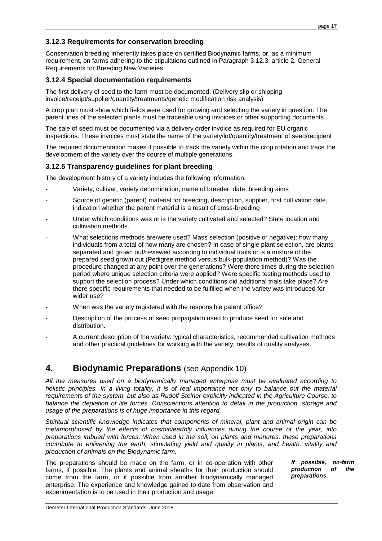# **3.12.3 Requirements for conservation breeding**

Conservation breeding inherently takes place on certified Biodynamic farms, or, as a minimum requirement, on farms adhering to the stipulations outlined in Paragraph 3.12.3, article 2, General Requirements for Breeding New Varieties.

#### **3.12.4 Special documentation requirements**

The first delivery of seed to the farm must be documented. (Delivery slip or shipping invoice/receipt/supplier/quantity/treatments/genetic modification risk analysis)

A crop plan must show which fields were used for growing and selecting the variety in question. The parent lines of the selected plants must be traceable using invoices or other supporting documents.

The sale of seed must be documented via a delivery order invoice as required for EU organic inspections. These invoices must state the name of the variety/lot/quantity/treatment of seed/recipient

The required documentation makes it possible to track the variety within the crop rotation and trace the development of the variety over the course of multiple generations.

#### **3.12.5 Transparency guidelines for plant breeding**

The development history of a variety includes the following information:

- Variety, cultivar, variety denomination, name of breeder, date, breeding aims
- Source of genetic (parent) material for breeding, description, supplier, first cultivation date, indication whether the parent material is a result of cross-breeding
- Under which conditions was or is the variety cultivated and selected? State location and cultivation methods.
- What selections methods are/were used? Mass selection (positive or negative): how many individuals from a total of how many are chosen? In case of single plant selection, are plants separated and grown out/reviewed according to individual traits or is a mixture of the prepared seed grown out (Pedigree method versus bulk-population method)? Was the procedure changed at any point over the generations? Were there times during the selection period where unique selection criteria were applied? Were specific testing methods used to support the selection process? Under which conditions did additional trials take place? Are there specific requirements that needed to be fulfilled when the variety was introduced for wider use?
- When was the variety registered with the responsible patent office?
- Description of the process of seed propagation used to produce seed for sale and distribution.
- A current description of the variety: typical characteristics, recommended cultivation methods and other practical guidelines for working with the variety, results of quality analyses.

# **4. Biodynamic Preparations** (see Appendix 10)

All the measures used on a biodynamically managed enterprise must be evaluated according to holistic principles. In a living totality, it is of real importance not only to balance out the material requirements of the system, but also as Rudolf Steiner explicitly indicated in the Agriculture Course, to balance the depletion of life forces. Conscientious attention to detail in the production, storage and usage of the preparations is of huge importance in this regard.

Spiritual scientific knowledge indicates that components of mineral, plant and animal origin can be metamorphosed by the effects of cosmic/earthly influences during the course of the year, into preparations imbued with forces. When used in the soil, on plants and manures, these preparations contribute to enlivening the earth, stimulating yield and quality in plants, and health, vitality and production of animals on the Biodynamic farm.

The preparations should be made on the farm, or in co-operation with other farms, if possible. The plants and animal sheaths for their production should come from the farm, or if possible from another biodynamically managed enterprise. The experience and knowledge gained to date from observation and experimentation is to be used in their production and usage.

**If possible, on-farm production of the preparations.**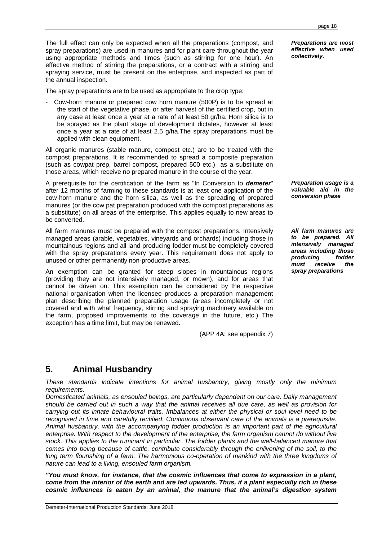The full effect can only be expected when all the preparations (compost, and spray preparations) are used in manures and for plant care throughout the year using appropriate methods and times (such as stirring for one hour). An effective method of stirring the preparations, or a contract with a stirring and spraying service, must be present on the enterprise, and inspected as part of the annual inspection.

The spray preparations are to be used as appropriate to the crop type:

Cow-horn manure or prepared cow horn manure (500P) is to be spread at the start of the vegetative phase, or after harvest of the certified crop, but in any case at least once a year at a rate of at least 50 gr/ha. Horn silica is to be sprayed as the plant stage of development dictates, however at least once a year at a rate of at least 2.5 g/ha.The spray preparations must be applied with clean equipment.

All organic manures (stable manure, compost etc.) are to be treated with the compost preparations. It is recommended to spread a composite preparation (such as cowpat prep, barrel compost, prepared 500 etc.) as a substitute on those areas, which receive no prepared manure in the course of the year.

A prerequisite for the certification of the farm as "In Conversion to **demeter**" after 12 months of farming to these standards is at least one application of the cow-horn manure and the horn silica, as well as the spreading of prepared manures (or the cow pat preparation produced with the compost preparations as a substitute) on all areas of the enterprise. This applies equally to new areas to be converted.

All farm manures must be prepared with the compost preparations. Intensively managed areas (arable, vegetables, vineyards and orchards) including those in mountainous regions and all land producing fodder must be completely covered with the spray preparations every year. This requirement does not apply to unused or other permanently non-productive areas.

An exemption can be granted for steep slopes in mountainous regions (providing they are not intensively managed, or mown), and for areas that cannot be driven on. This exemption can be considered by the respective national organisation when the licensee produces a preparation management plan describing the planned preparation usage (areas incompletely or not covered and with what frequency, stirring and spraying machinery available on the farm, proposed improvements to the coverage in the future, etc.) The exception has a time limit, but may be renewed.

(APP 4A: see appendix 7)

# **5. Animal Husbandry**

These standards indicate intentions for animal husbandry, giving mostly only the minimum requirements.

Domesticated animals, as ensouled beings, are particularly dependent on our care. Daily management should be carried out in such a way that the animal receives all due care, as well as provision for carrying out its innate behavioural traits. Imbalances at either the physical or soul level need to be recognised in time and carefully rectified. Continuous observant care of the animals is a prerequisite. Animal husbandry, with the accompanying fodder production is an important part of the agricultural enterprise. With respect to the development of the enterprise, the farm organism cannot do without live stock. This applies to the ruminant in particular. The fodder plants and the well-balanced manure that comes into being because of cattle, contribute considerably through the enlivening of the soil, to the long term flourishing of a farm. The harmonious co-operation of mankind with the three kingdoms of nature can lead to a living, ensouled farm organism.

**"You must know, for instance, that the cosmic influences that come to expression in a plant, come from the interior of the earth and are led upwards. Thus, if a plant especially rich in these cosmic influences is eaten by an animal, the manure that the animal's digestion system** 

**Preparations are most effective when used collectively.** 

**Preparation usage is a valuable aid in the conversion phase** 

**All farm manures are to be prepared. All intensively managed areas including those producing fodder must receive the spray preparations**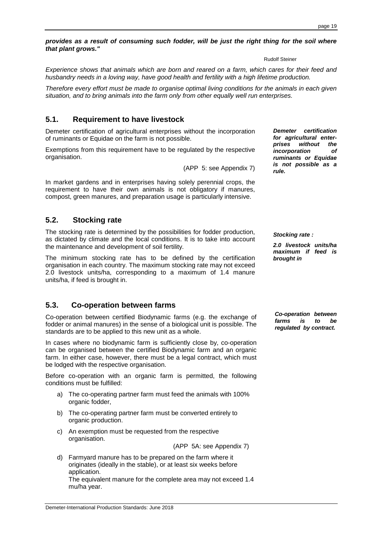#### **provides as a result of consuming such fodder, will be just the right thing for the soil where that plant grows."**

Rudolf Steiner

Experience shows that animals which are born and reared on a farm, which cares for their feed and husbandry needs in a loving way, have good health and fertility with a high lifetime production.

Therefore every effort must be made to organise optimal living conditions for the animals in each given situation, and to bring animals into the farm only from other equally well run enterprises.

# **5.1. Requirement to have livestock**

Demeter certification of agricultural enterprises without the incorporation of ruminants or Equidae on the farm is not possible.

Exemptions from this requirement have to be regulated by the respective organisation.

(APP 5: see Appendix 7)

In market gardens and in enterprises having solely perennial crops, the requirement to have their own animals is not obligatory if manures, compost, green manures, and preparation usage is particularly intensive.

# **5.2. Stocking rate**

The stocking rate is determined by the possibilities for fodder production, as dictated by climate and the local conditions. It is to take into account the maintenance and development of soil fertility.

The minimum stocking rate has to be defined by the certification organisation in each country. The maximum stocking rate may not exceed 2.0 livestock units/ha, corresponding to a maximum of 1.4 manure units/ha, if feed is brought in.

# **5.3. Co-operation between farms**

Co-operation between certified Biodynamic farms (e.g. the exchange of fodder or animal manures) in the sense of a biological unit is possible. The standards are to be applied to this new unit as a whole.

In cases where no biodynamic farm is sufficiently close by, co-operation can be organised between the certified Biodynamic farm and an organic farm. In either case, however, there must be a legal contract, which must be lodged with the respective organisation.

Before co-operation with an organic farm is permitted, the following conditions must be fulfilled:

- a) The co-operating partner farm must feed the animals with 100% organic fodder,
- b) The co-operating partner farm must be converted entirely to organic production.
- c) An exemption must be requested from the respective organisation.

(APP 5A: see Appendix 7)

d) Farmyard manure has to be prepared on the farm where it originates (ideally in the stable), or at least six weeks before application. The equivalent manure for the complete area may not exceed 1.4 mu/ha year.

**Demeter certification for agricultural enterprises without the incorporation of ruminants or Equidae is not possible as a rule.** 

**Stocking rate :** 

**2.0 livestock units/ha maximum if feed is brought in** 

**Co-operation between farms is to be regulated by contract.**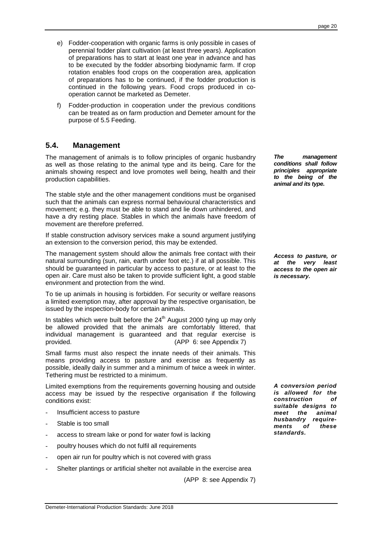- e) Fodder-cooperation with organic farms is only possible in cases of perennial fodder plant cultivation (at least three years). Application of preparations has to start at least one year in advance and has to be executed by the fodder absorbing biodynamic farm. If crop rotation enables food crops on the cooperation area, application of preparations has to be continued, if the fodder production is continued in the following years. Food crops produced in cooperation cannot be marketed as Demeter.
- f) Fodder-production in cooperation under the previous conditions can be treated as on farm production and Demeter amount for the purpose of 5.5 Feeding.

# **5.4. Management**

The management of animals is to follow principles of organic husbandry as well as those relating to the animal type and its being. Care for the animals showing respect and love promotes well being, health and their production capabilities.

The stable style and the other management conditions must be organised such that the animals can express normal behavioural characteristics and movement; e.g. they must be able to stand and lie down unhindered, and have a dry resting place. Stables in which the animals have freedom of movement are therefore preferred.

If stable construction advisory services make a sound argument justifying an extension to the conversion period, this may be extended.

The management system should allow the animals free contact with their natural surrounding (sun, rain, earth under foot etc.) if at all possible. This should be guaranteed in particular by access to pasture, or at least to the open air. Care must also be taken to provide sufficient light, a good stable environment and protection from the wind.

To tie up animals in housing is forbidden. For security or welfare reasons a limited exemption may, after approval by the respective organisation, be issued by the inspection-body for certain animals.

In stables which were built before the  $24<sup>th</sup>$  August 2000 tying up may only be allowed provided that the animals are comfortably littered, that individual management is guaranteed and that regular exercise is provided. (APP 6: see Appendix 7)

Small farms must also respect the innate needs of their animals. This means providing access to pasture and exercise as frequently as possible, ideally daily in summer and a minimum of twice a week in winter. Tethering must be restricted to a minimum.

Limited exemptions from the requirements governing housing and outside access may be issued by the respective organisation if the following conditions exist:

- Insufficient access to pasture
- Stable is too small
- access to stream lake or pond for water fowl is lacking
- poultry houses which do not fulfil all requirements
- open air run for poultry which is not covered with grass
- Shelter plantings or artificial shelter not available in the exercise area

(APP 8: see Appendix 7)

**The management conditions shall follow principles appropriate to the being of the animal and its type.** 

**Access to pasture, or at the very least access to the open air is necessary.** 

**A conversion period is allowed for the construction of suitable designs to meet the animal husbandry requirements of these standards.**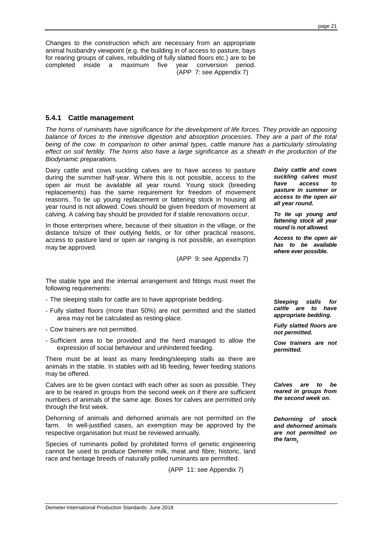Changes to the construction which are necessary from an appropriate animal husbandry viewpoint (e.g. the building in of access to pasture, bays for rearing groups of calves, rebuilding of fully slatted floors etc.) are to be completed inside a maximum five year conversion period. (APP 7: see Appendix 7)

#### **5.4.1 Cattle management**

The horns of ruminants have significance for the development of life forces. They provide an opposing balance of forces to the intensive digestion and absorption processes. They are a part of the total being of the cow. In comparison to other animal types, cattle manure has a particularly stimulating effect on soil fertility. The horns also have a large significance as a sheath in the production of the Biodynamic preparations.

Dairy cattle and cows suckling calves are to have access to pasture during the summer half-year. Where this is not possible, access to the open air must be available all year round. Young stock (breeding replacements) has the same requirement for freedom of movement reasons. To tie up young replacement or fattening stock in housing all year round is not allowed. Cows should be given freedom of movement at calving. A calving bay should be provided for if stable renovations occur.

In those enterprises where, because of their situation in the village, or the distance to/size of their outlying fields, or for other practical reasons, access to pasture land or open air ranging is not possible, an exemption may be approved.

(APP 9: see Appendix 7)

**Dairy cattle and cows suckling calves must have access to pasture in summer or access to the open air all year round.** 

**To tie up young and fattening stock all year round is not allowed.** 

**Access to the open air has to be available where ever possible.** 

The stable type and the internal arrangement and fittings must meet the following requirements:

- The sleeping stalls for cattle are to have appropriate bedding.
- Fully slatted floors (more than 50%) are not permitted and the slatted area may not be calculated as resting-place.
- Cow trainers are not permitted.
- Sufficient area to be provided and the herd managed to allow the expression of social behaviour and unhindered feeding.

There must be at least as many feeding/sleeping stalls as there are animals in the stable. In stables with ad lib feeding, fewer feeding stations may be offered.

Calves are to be given contact with each other as soon as possible. They are to be reared in groups from the second week on if there are sufficient numbers of animals of the same age. Boxes for calves are permitted only through the first week.

Dehorning of animals and dehorned animals are not permitted on the farm. In well-justified cases, an exemption may be approved by the respective organisation but must be reviewed annually.

Species of ruminants polled by prohibited forms of genetic engineering cannot be used to produce Demeter milk, meat and fibre; historic, land race and heritage breeds of naturally polled ruminants are permitted.

(APP 11: see Appendix 7)

**Sleeping stalls for cattle are to have appropriate bedding.** 

**Fully slatted floors are not permitted.** 

**Cow trainers are not permitted.** 

**Calves are to be reared in groups from the second week on.** 

**Dehorning of stock and dehorned animals are not permitted on the farm.**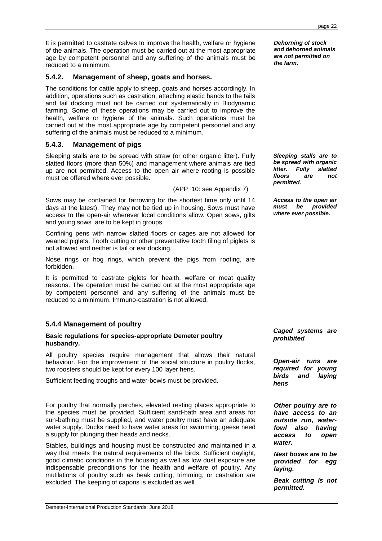It is permitted to castrate calves to improve the health, welfare or hygiene of the animals. The operation must be carried out at the most appropriate age by competent personnel and any suffering of the animals must be reduced to a minimum.

#### **5.4.2. Management of sheep, goats and horses.**

The conditions for cattle apply to sheep, goats and horses accordingly. In addition, operations such as castration, attaching elastic bands to the tails and tail docking must not be carried out systematically in Biodynamic farming. Some of these operations may be carried out to improve the health, welfare or hygiene of the animals. Such operations must be carried out at the most appropriate age by competent personnel and any suffering of the animals must be reduced to a minimum.

#### **5.4.3. Management of pigs**

Sleeping stalls are to be spread with straw (or other organic litter). Fully slatted floors (more than 50%) and management where animals are tied up are not permitted. Access to the open air where rooting is possible must be offered where ever possible.

(APP 10: see Appendix 7)

Sows may be contained for farrowing for the shortest time only until 14 days at the latest). They may not be tied up in housing. Sows must have access to the open-air wherever local conditions allow. Open sows, gilts and young sows are to be kept in groups.

Confining pens with narrow slatted floors or cages are not allowed for weaned piglets. Tooth cutting or other preventative tooth filing of piglets is not allowed and neither is tail or ear docking.

Nose rings or hog rings, which prevent the pigs from rooting, are forbidden.

It is permitted to castrate piglets for health, welfare or meat quality reasons. The operation must be carried out at the most appropriate age by competent personnel and any suffering of the animals must be reduced to a minimum. Immuno-castration is not allowed.

#### **5.4.4 Management of poultry**

#### **Basic regulations for species-appropriate Demeter poultry husbandry.**

All poultry species require management that allows their natural behaviour. For the improvement of the social structure in poultry flocks, two roosters should be kept for every 100 layer hens.

Sufficient feeding troughs and water-bowls must be provided.

For poultry that normally perches, elevated resting places appropriate to the species must be provided. Sufficient sand-bath area and areas for sun-bathing must be supplied, and water poultry must have an adequate water supply. Ducks need to have water areas for swimming; geese need a supply for plunging their heads and necks.

Stables, buildings and housing must be constructed and maintained in a way that meets the natural requirements of the birds. Sufficient daylight, good climatic conditions in the housing as well as low dust exposure are indispensable preconditions for the health and welfare of poultry. Any mutilations of poultry such as beak cutting, trimming, or castration are excluded. The keeping of capons is excluded as well.

**Dehorning of stock and dehorned animals are not permitted on the farm.** 

**Sleeping stalls are to be spread with organic litter. Fully slatted floors are not permitted.** 

**Access to the open air must be provided where ever possible.** 

**Caged systems are prohibited** 

**Open-air runs are required for young birds and laying hens** 

**Other poultry are to have access to an outside run, waterfowl also having access to open water.** 

**Nest boxes are to be provided for egg laying.** 

**Beak cutting is not permitted.**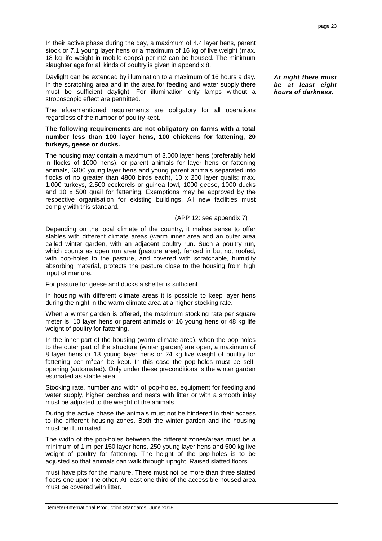In their active phase during the day, a maximum of 4.4 layer hens, parent stock or 7.1 young layer hens or a maximum of 16 kg of live weight (max. 18 kg life weight in mobile coops) per m2 can be housed. The minimum slaughter age for all kinds of poultry is given in appendix 8.

Daylight can be extended by illumination to a maximum of 16 hours a day. In the scratching area and in the area for feeding and water supply there must be sufficient daylight. For illumination only lamps without a stroboscopic effect are permitted.

The aforementioned requirements are obligatory for all operations regardless of the number of poultry kept.

#### **The following requirements are not obligatory on farms with a total number less than 100 layer hens, 100 chickens for fattening, 20 turkeys, geese or ducks.**

The housing may contain a maximum of 3.000 layer hens (preferably held in flocks of 1000 hens), or parent animals for layer hens or fattening animals, 6300 young layer hens and young parent animals separated into flocks of no greater than 4800 birds each), 10 x 200 layer quails; max. 1.000 turkeys, 2.500 cockerels or guinea fowl, 1000 geese, 1000 ducks and 10 x 500 quail for fattening. Exemptions may be approved by the respective organisation for existing buildings. All new facilities must comply with this standard.

#### (APP 12: see appendix 7)

Depending on the local climate of the country, it makes sense to offer stables with different climate areas (warm inner area and an outer area called winter garden, with an adjacent poultry run. Such a poultry run, which counts as open run area (pasture area), fenced in but not roofed, with pop-holes to the pasture, and covered with scratchable, humidity absorbing material, protects the pasture close to the housing from high input of manure.

For pasture for geese and ducks a shelter is sufficient.

In housing with different climate areas it is possible to keep layer hens during the night in the warm climate area at a higher stocking rate.

When a winter garden is offered, the maximum stocking rate per square meter is: 10 layer hens or parent animals or 16 young hens or 48 kg life weight of poultry for fattening.

In the inner part of the housing (warm climate area), when the pop-holes to the outer part of the structure (winter garden) are open, a maximum of 8 layer hens or 13 young layer hens or 24 kg live weight of poultry for fattening per m<sup>2</sup>can be kept. In this case the pop-holes must be selfopening (automated). Only under these preconditions is the winter garden estimated as stable area.

Stocking rate, number and width of pop-holes, equipment for feeding and water supply, higher perches and nests with litter or with a smooth inlay must be adjusted to the weight of the animals.

During the active phase the animals must not be hindered in their access to the different housing zones. Both the winter garden and the housing must be illuminated.

The width of the pop-holes between the different zones/areas must be a minimum of 1 m per 150 layer hens, 250 young layer hens and 500 kg live weight of poultry for fattening. The height of the pop-holes is to be adjusted so that animals can walk through upright. Raised slatted floors

must have pits for the manure. There must not be more than three slatted floors one upon the other. At least one third of the accessible housed area must be covered with litter.

**At night there must be at least eight hours of darkness.**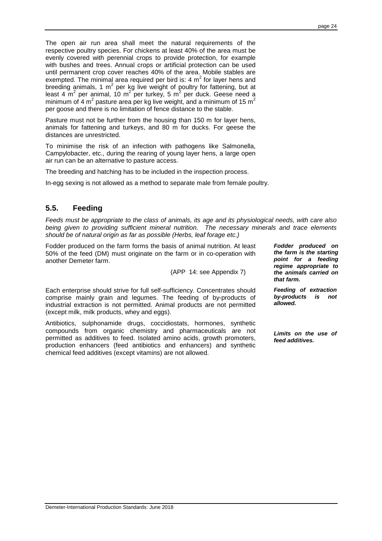The open air run area shall meet the natural requirements of the respective poultry species. For chickens at least 40% of the area must be evenly covered with perennial crops to provide protection, for example with bushes and trees. Annual crops or artificial protection can be used until permanent crop cover reaches 40% of the area. Mobile stables are exempted. The minimal area required per bird is: 4  $m^2$  for layer hens and breeding animals, 1  $m^2$  per kg live weight of poultry for fattening, but at least 4  $\text{m}^2$  per animal, 10 m<sup>2</sup> per turkey, 5 m<sup>2</sup> per duck. Geese need a minimum of 4 m<sup>2</sup> pasture area per kg live weight, and a minimum of 15 m<sup>2</sup> per goose and there is no limitation of fence distance to the stable.

Pasture must not be further from the housing than 150 m for layer hens, animals for fattening and turkeys, and 80 m for ducks. For geese the distances are unrestricted.

To minimise the risk of an infection with pathogens like Salmonella, Campylobacter, etc., during the rearing of young layer hens, a large open air run can be an alternative to pasture access.

The breeding and hatching has to be included in the inspection process.

In-egg sexing is not allowed as a method to separate male from female poultry.

# **5.5. Feeding**

Feeds must be appropriate to the class of animals, its age and its physiological needs, with care also being given to providing sufficient mineral nutrition. The necessary minerals and trace elements should be of natural origin as far as possible (Herbs, leaf forage etc.)

Fodder produced on the farm forms the basis of animal nutrition. At least 50% of the feed (DM) must originate on the farm or in co-operation with another Demeter farm.

(APP 14: see Appendix 7)

Each enterprise should strive for full self-sufficiency. Concentrates should comprise mainly grain and legumes. The feeding of by-products of industrial extraction is not permitted. Animal products are not permitted (except milk, milk products, whey and eggs).

Antibiotics, sulphonamide drugs, coccidiostats, hormones, synthetic compounds from organic chemistry and pharmaceuticals are not permitted as additives to feed. Isolated amino acids, growth promoters, production enhancers (feed antibiotics and enhancers) and synthetic chemical feed additives (except vitamins) are not allowed.

**Fodder produced on the farm is the starting point for a feeding regime appropriate to the animals carried on that farm.** 

**Feeding of extraction by-products is not allowed.** 

**Limits on the use of feed additives.**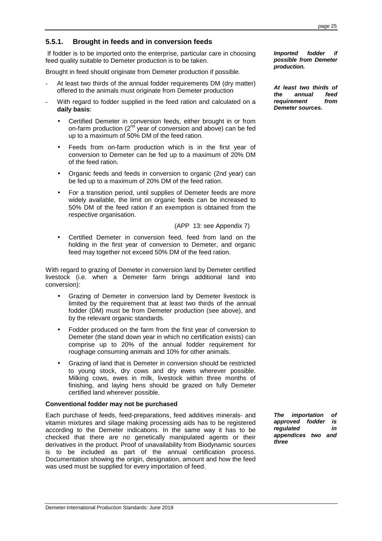# **5.5.1. Brought in feeds and in conversion feeds**

 If fodder is to be imported onto the enterprise, particular care in choosing feed quality suitable to Demeter production is to be taken.

Brought in feed should originate from Demeter production if possible.

- At least two thirds of the annual fodder requirements DM (dry matter) offered to the animals must originate from Demeter production
- With regard to fodder supplied in the feed ration and calculated on a **daily basis**:
	- Certified Demeter in conversion feeds, either brought in or from on-farm production  $(2^{nd}$  year of conversion and above) can be fed up to a maximum of 50% DM of the feed ration.
	- Feeds from on-farm production which is in the first year of conversion to Demeter can be fed up to a maximum of 20% DM of the feed ration.
	- Organic feeds and feeds in conversion to organic (2nd year) can be fed up to a maximum of 20% DM of the feed ration.
	- For a transition period, until supplies of Demeter feeds are more widely available, the limit on organic feeds can be increased to 50% DM of the feed ration if an exemption is obtained from the respective organisation.

(APP 13: see Appendix 7)

Certified Demeter in conversion feed, feed from land on the holding in the first year of conversion to Demeter, and organic feed may together not exceed 50% DM of the feed ration.

With regard to grazing of Demeter in conversion land by Demeter certified livestock (i.e. when a Demeter farm brings additional land into conversion):

- Grazing of Demeter in conversion land by Demeter livestock is limited by the requirement that at least two thirds of the annual fodder (DM) must be from Demeter production (see above), and by the relevant organic standards.
- Fodder produced on the farm from the first year of conversion to Demeter (the stand down year in which no certification exists) can comprise up to 20% of the annual fodder requirement for roughage consuming animals and 10% for other animals.
- Grazing of land that is Demeter in conversion should be restricted to young stock, dry cows and dry ewes wherever possible. Milking cows, ewes in milk, livestock within three months of finishing, and laying hens should be grazed on fully Demeter certified land wherever possible.

#### **Conventional fodder may not be purchased**

Each purchase of feeds, feed-preparations, feed additives minerals- and vitamin mixtures and silage making processing aids has to be registered according to the Demeter indications. In the same way it has to be checked that there are no genetically manipulated agents or their derivatives in the product. Proof of unavailability from Biodynamic sources is to be included as part of the annual certification process. Documentation showing the origin, designation, amount and how the feed was used must be supplied for every importation of feed.

**The importation of approved fodder is regulated in appendices two and three** 

**Imported fodder if possible from Demeter production.** 

**At least two thirds of**  annual **requirement from Demeter sources.**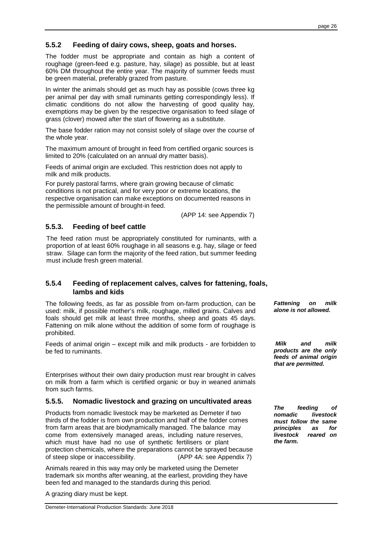## **5.5.2 Feeding of dairy cows, sheep, goats and horses.**

The fodder must be appropriate and contain as high a content of roughage (green-feed e.g. pasture, hay, silage) as possible, but at least 60% DM throughout the entire year. The majority of summer feeds must be green material, preferably grazed from pasture.

In winter the animals should get as much hay as possible (cows three kg per animal per day with small ruminants getting correspondingly less). If climatic conditions do not allow the harvesting of good quality hay, exemptions may be given by the respective organisation to feed silage of grass (clover) mowed after the start of flowering as a substitute.

The base fodder ration may not consist solely of silage over the course of the whole year.

The maximum amount of brought in feed from certified organic sources is limited to 20% (calculated on an annual dry matter basis).

Feeds of animal origin are excluded. This restriction does not apply to milk and milk products.

For purely pastoral farms, where grain growing because of climatic conditions is not practical, and for very poor or extreme locations, the respective organisation can make exceptions on documented reasons in the permissible amount of brought-in feed.

(APP 14: see Appendix 7)

# **5.5.3. Feeding of beef cattle**

The feed ration must be appropriately constituted for ruminants, with a proportion of at least 60% roughage in all seasons e.g. hay, silage or feed straw. Silage can form the majority of the feed ration, but summer feeding must include fresh green material.

#### **5.5.4 Feeding of replacement calves, calves for fattening, foals, lambs and kids**

The following feeds, as far as possible from on-farm production, can be used: milk, if possible mother's milk, roughage, milled grains. Calves and foals should get milk at least three months, sheep and goats 45 days. Fattening on milk alone without the addition of some form of roughage is prohibited.

Feeds of animal origin – except milk and milk products - are forbidden to be fed to ruminants.

Enterprises without their own dairy production must rear brought in calves on milk from a farm which is certified organic or buy in weaned animals from such farms.

#### **5.5.5. Nomadic livestock and grazing on uncultivated areas**

Products from nomadic livestock may be marketed as Demeter if two thirds of the fodder is from own production and half of the fodder comes from farm areas that are biodynamically managed. The balance may come from extensively managed areas, including nature reserves, which must have had no use of synthetic fertilisers or plant protection chemicals, where the preparations cannot be sprayed because of steep slope or inaccessibility. (APP 4A: see Appendix 7)

Animals reared in this way may only be marketed using the Demeter trademark six months after weaning, at the earliest, providing they have been fed and managed to the standards during this period.

A grazing diary must be kept.

**Fattening on milk alone is not allowed.** 

 **Milk and milk products are the only feeds of animal origin that are permitted.** 

**The feeding of nomadic livestock must follow the same principles as for livestock reared on the farm.**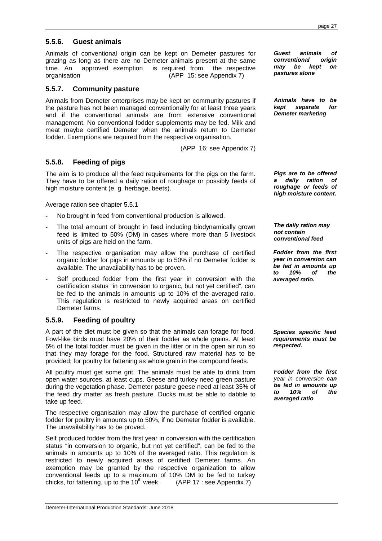page 27

# **5.5.6. Guest animals**

Animals of conventional origin can be kept on Demeter pastures for grazing as long as there are no Demeter animals present at the same time. An approved exemption is required from the respective organisation (APP 15: see Appendix 7)

## **5.5.7. Community pasture**

Animals from Demeter enterprises may be kept on community pastures if the pasture has not been managed conventionally for at least three years and if the conventional animals are from extensive conventional management. No conventional fodder supplements may be fed. Milk and meat maybe certified Demeter when the animals return to Demeter fodder. Exemptions are required from the respective organisation.

(APP 16: see Appendix 7)

# **5.5.8. Feeding of pigs**

The aim is to produce all the feed requirements for the pigs on the farm. They have to be offered a daily ration of roughage or possibly feeds of high moisture content (e. g. herbage, beets).

Average ration see chapter 5.5.1

- No brought in feed from conventional production is allowed.
- The total amount of brought in feed including biodynamically grown feed is limited to 50% (DM) in cases where more than 5 livestock units of pigs are held on the farm.
- The respective organisation may allow the purchase of certified organic fodder for pigs in amounts up to 50% if no Demeter fodder is available. The unavailability has to be proven.
- Self produced fodder from the first year in conversion with the certification status "in conversion to organic, but not yet certified", can be fed to the animals in amounts up to 10% of the averaged ratio. This regulation is restricted to newly acquired areas on certified Demeter farms.

# **5.5.9. Feeding of poultry**

A part of the diet must be given so that the animals can forage for food. Fowl-like birds must have 20% of their fodder as whole grains. At least 5% of the total fodder must be given in the litter or in the open air run so that they may forage for the food. Structured raw material has to be provided; for poultry for fattening as whole grain in the compound feeds.

All poultry must get some grit. The animals must be able to drink from open water sources, at least cups. Geese and turkey need green pasture during the vegetation phase. Demeter pasture geese need at least 35% of the feed dry matter as fresh pasture. Ducks must be able to dabble to take up feed.

The respective organisation may allow the purchase of certified organic fodder for poultry in amounts up to 50%, if no Demeter fodder is available. The unavailability has to be proved.

Self produced fodder from the first year in conversion with the certification status "in conversion to organic, but not yet certified", can be fed to the animals in amounts up to 10% of the averaged ratio. This regulation is restricted to newly acquired areas of certified Demeter farms. An exemption may be granted by the respective organization to allow conventional feeds up to a maximum of 10% DM to be fed to turkey chicks, for fattening, up to the 10<sup>th</sup> week. (APP 17 : see Appendix 7)

**conventional origin may be kept on pastures alone** 

**Guest animals of** 

**Animals have to be kept separate for Demeter marketing** 

**Pigs are to be offered a daily ration of roughage or feeds of high moisture content.** 

**The daily ration may not contain conventional feed** 

**Fodder from the first year in conversion can be fed in amounts up to 10% of the averaged ratio.** 

**Species specific feed requirements must be respected.** 

**Fodder from the first**  year in conversion **can be fed in amounts up to 10% of the averaged ratio**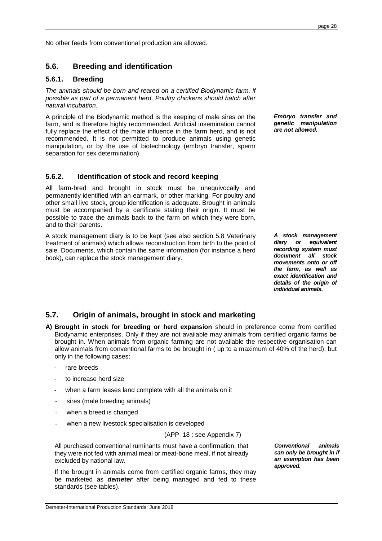No other feeds from conventional production are allowed.

## **5.6. Breeding and identification**

#### **5.6.1. Breeding**

The animals should be born and reared on a certified Biodynamic farm, if possible as part of a permanent herd. Poultry chickens should hatch after natural incubation.

A principle of the Biodynamic method is the keeping of male sires on the farm, and is therefore highly recommended. Artificial insemination cannot fully replace the effect of the male influence in the farm herd, and is not recommended. It is not permitted to produce animals using genetic manipulation, or by the use of biotechnology (embryo transfer, sperm separation for sex determination).

#### **5.6.2. Identification of stock and record keeping**

All farm-bred and brought in stock must be unequivocally and permanently identified with an earmark, or other marking. For poultry and other small live stock, group identification is adequate. Brought in animals must be accompanied by a certificate stating their origin. It must be possible to trace the animals back to the farm on which they were born, and to their parents.

A stock management diary is to be kept (see also section 5.8 Veterinary treatment of animals) which allows reconstruction from birth to the point of sale. Documents, which contain the same information (for instance a herd book), can replace the stock management diary.

**Embryo transfer and genetic manipulation are not allowed.** 

**A stock management diary or equivalent recording system must document all stock movements onto or off the farm, as well as exact identification and details of the origin of individual animals.** 

# **5.7. Origin of animals, brought in stock and marketing**

- **A) Brought in stock for breeding or herd expansion** should in preference come from certified Biodynamic enterprises. Only if they are not available may animals from certified organic farms be brought in. When animals from organic farming are not available the respective organisation can allow animals from conventional farms to be brought in ( up to a maximum of 40% of the herd), but only in the following cases:
	- rare breeds
	- to increase herd size
	- when a farm leases land complete with all the animals on it
	- sires (male breeding animals)
	- when a breed is changed
	- when a new livestock specialisation is developed

(APP 18 : see Appendix 7)

All purchased conventional ruminants must have a confirmation, that they were not fed with animal meal or meat-bone meal, if not already excluded by national law.

 If the brought in animals come from certified organic farms, they may be marketed as **demeter** after being managed and fed to these standards (see tables).

**Conventional animals can only be brought in if an exemption has been approved.**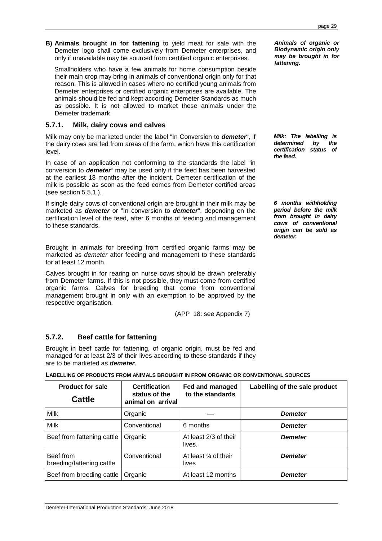**B) Animals brought in for fattening** to yield meat for sale with the Demeter logo shall come exclusively from Demeter enterprises, and only if unavailable may be sourced from certified organic enterprises.

 Smallholders who have a few animals for home consumption beside their main crop may bring in animals of conventional origin only for that reason. This is allowed in cases where no certified young animals from Demeter enterprises or certified organic enterprises are available. The animals should be fed and kept according Demeter Standards as much as possible. It is not allowed to market these animals under the Demeter trademark.

## **5.7.1. Milk, dairy cows and calves**

Milk may only be marketed under the label "In Conversion to **demeter**", if the dairy cows are fed from areas of the farm, which have this certification level.

In case of an application not conforming to the standards the label "in conversion to **demeter**" may be used only if the feed has been harvested at the earliest 18 months after the incident. Demeter certification of the milk is possible as soon as the feed comes from Demeter certified areas (see section 5.5.1.).

If single dairy cows of conventional origin are brought in their milk may be marketed as **demeter** or "In conversion to **demeter**", depending on the certification level of the feed, after 6 months of feeding and management to these standards.

Brought in animals for breeding from certified organic farms may be marketed as demeter after feeding and management to these standards for at least 12 month.

Calves brought in for rearing on nurse cows should be drawn preferably from Demeter farms. If this is not possible, they must come from certified organic farms. Calves for breeding that come from conventional management brought in only with an exemption to be approved by the respective organisation.

(APP 18: see Appendix 7)

#### **5.7.2. Beef cattle for fattening**

Brought in beef cattle for fattening, of organic origin, must be fed and managed for at least 2/3 of their lives according to these standards if they are to be marketed as **demeter**.

|  |  | LABELLING OF PRODUCTS FROM ANIMALS BROUGHT IN FROM ORGANIC OR CONVENTIONAL SOURCES |
|--|--|------------------------------------------------------------------------------------|
|--|--|------------------------------------------------------------------------------------|

| <b>Product for sale</b><br><b>Cattle</b> | <b>Certification</b><br>status of the<br>animal on arrival | Fed and managed<br>to the standards      | Labelling of the sale product |
|------------------------------------------|------------------------------------------------------------|------------------------------------------|-------------------------------|
| Milk                                     | Organic                                                    |                                          | <b>Demeter</b>                |
| Milk                                     | Conventional                                               | 6 months                                 | <b>Demeter</b>                |
| Beef from fattening cattle               | Organic                                                    | At least 2/3 of their<br>lives.          | <b>Demeter</b>                |
| Beef from<br>breeding/fattening cattle   | Conventional                                               | At least $\frac{3}{4}$ of their<br>lives | <b>Demeter</b>                |
| Beef from breeding cattle                | Organic                                                    | At least 12 months                       | <b>Demeter</b>                |

**Milk: The labelling is determined by the certification status of the feed.** 

**6 months withholding period before the milk from brought in dairy cows of conventional origin can be sold as demeter.**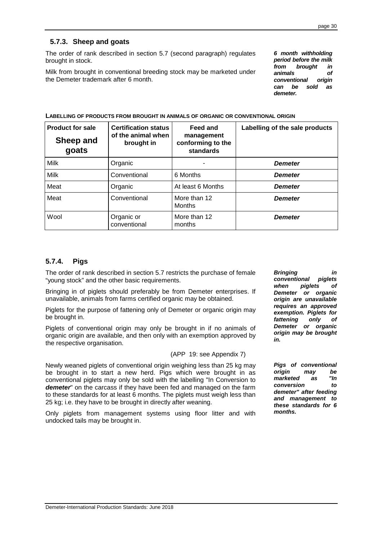# **5.7.3. Sheep and goats**

The order of rank described in section 5.7 (second paragraph) regulates brought in stock.

Milk from brought in conventional breeding stock may be marketed under the Demeter trademark after 6 month.

**6 month withholding period before the milk from brought in animals of conventional origin can be sold as demeter.** 

| <b>Product for sale</b><br>Sheep and<br>goats | <b>Certification status</b><br>of the animal when<br>brought in | Feed and<br>management<br>conforming to the<br>standards | Labelling of the sale products |
|-----------------------------------------------|-----------------------------------------------------------------|----------------------------------------------------------|--------------------------------|
| Milk                                          | Organic                                                         |                                                          | <b>Demeter</b>                 |
| <b>Milk</b>                                   | Conventional                                                    | 6 Months                                                 | <b>Demeter</b>                 |
| Meat                                          | Organic                                                         | At least 6 Months                                        | <b>Demeter</b>                 |
| Meat                                          | Conventional                                                    | More than 12<br><b>Months</b>                            | <b>Demeter</b>                 |
| Wool                                          | Organic or<br>conventional                                      | More than 12<br>months                                   | <b>Demeter</b>                 |

# **5.7.4. Pigs**

The order of rank described in section 5.7 restricts the purchase of female "young stock" and the other basic requirements.

Bringing in of piglets should preferably be from Demeter enterprises. If unavailable, animals from farms certified organic may be obtained.

Piglets for the purpose of fattening only of Demeter or organic origin may be brought in.

Piglets of conventional origin may only be brought in if no animals of organic origin are available, and then only with an exemption approved by the respective organisation.

#### (APP 19: see Appendix 7)

Newly weaned piglets of conventional origin weighing less than 25 kg may be brought in to start a new herd. Pigs which were brought in as conventional piglets may only be sold with the labelling "In Conversion to **demeter**" on the carcass if they have been fed and managed on the farm to these standards for at least 6 months. The piglets must weigh less than 25 kg; i.e. they have to be brought in directly after weaning.

Only piglets from management systems using floor litter and with undocked tails may be brought in.

**Bringing in conventional piglets when piglets of Demeter or organic origin are unavailable requires an approved exemption. Piglets for fattening only of Demeter or organic origin may be brought in.** 

**Pigs of conventional origin may be marketed as "In conversion to demeter" after feeding and management to these standards for 6 months.**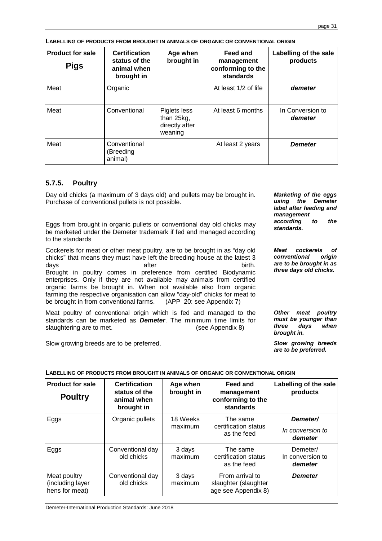| <b>Product for sale</b><br><b>Pigs</b> | <b>Certification</b><br>status of the<br>animal when<br>brought in | Age when<br>brought in                                  | Feed and<br>management<br>conforming to the<br>standards | Labelling of the sale<br>products |
|----------------------------------------|--------------------------------------------------------------------|---------------------------------------------------------|----------------------------------------------------------|-----------------------------------|
| Meat                                   | Organic                                                            |                                                         | At least 1/2 of life                                     | demeter                           |
| Meat                                   | Conventional                                                       | Piglets less<br>than 25kg,<br>directly after<br>weaning | At least 6 months                                        | In Conversion to<br>demeter       |
| Meat                                   | Conventional<br>(Breeding<br>animal)                               |                                                         | At least 2 years                                         | <b>Demeter</b>                    |

**LABELLING OF PRODUCTS FROM BROUGHT IN ANIMALS OF ORGANIC OR CONVENTIONAL ORIGIN** 

# **5.7.5. Poultry**

Day old chicks (a maximum of 3 days old) and pullets may be brought in. Purchase of conventional pullets is not possible.

Eggs from brought in organic pullets or conventional day old chicks may **standards.** be marketed under the Demeter trademark if fed and managed according to the standards

Cockerels for meat or other meat poultry, are to be brought in as "day old chicks" that means they must have left the breeding house at the latest 3 days birth. Brought in poultry comes in preference from certified Biodynamic enterprises. Only if they are not available may animals from certified organic farms be brought in. When not available also from organic farming the respective organisation can allow "day-old" chicks for meat to be brought in from conventional farms. (APP 20: see Appendix 7)

Meat poultry of conventional origin which is fed and managed to the standards can be marketed as **Demeter**. The minimum time limits for slaughtering are to met. (see Appendix 8)

Slow growing breeds are to be preferred. **Slow growing breeds** 

**Marketing of the eggs using the Demeter label after feeding and management according to the** 

**Meat cockerels of conventional origin are to be brought in as three days old chicks.** 

**Other meat poultry must be younger than three days when brought in.** 

**are to be preferred.** 

# **LABELLING OF PRODUCTS FROM BROUGHT IN ANIMALS OF ORGANIC OR CONVENTIONAL ORIGIN**

| <b>Product for sale</b><br><b>Poultry</b>          | <b>Certification</b><br>status of the<br>animal when<br>brought in | Age when<br>brought in | <b>Feed and</b><br>management<br>conforming to the<br>standards | Labelling of the sale<br>products       |
|----------------------------------------------------|--------------------------------------------------------------------|------------------------|-----------------------------------------------------------------|-----------------------------------------|
| Eggs                                               | Organic pullets                                                    | 18 Weeks<br>maximum    | The same<br>certification status<br>as the feed                 | Demeter/<br>In conversion to<br>demeter |
| Eggs                                               | Conventional day<br>old chicks                                     | 3 days<br>maximum      | The same<br>certification status<br>as the feed                 | Demeter/<br>In conversion to<br>demeter |
| Meat poultry<br>(including layer<br>hens for meat) | Conventional day<br>old chicks                                     | 3 days<br>maximum      | From arrival to<br>slaughter (slaughter<br>age see Appendix 8)  | <b>Demeter</b>                          |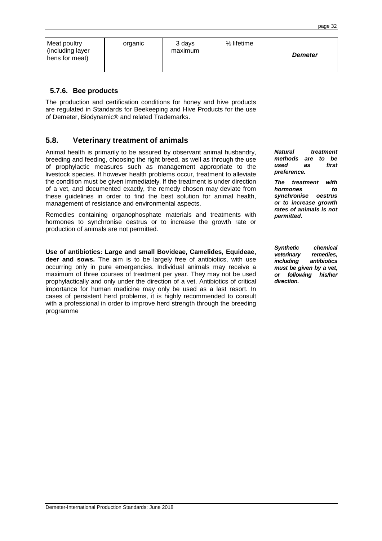| Meat poultry<br>(including layer<br>hens for meat) | organic | 3 days<br>maximum | $\frac{1}{2}$ lifetime | <b>Demeter</b> |
|----------------------------------------------------|---------|-------------------|------------------------|----------------|
|----------------------------------------------------|---------|-------------------|------------------------|----------------|

#### **5.7.6. Bee products**

The production and certification conditions for honey and hive products are regulated in Standards for Beekeeping and Hive Products for the use of Demeter, Biodynamic® and related Trademarks.

# **5.8. Veterinary treatment of animals**

Animal health is primarily to be assured by observant animal husbandry, breeding and feeding, choosing the right breed, as well as through the use of prophylactic measures such as management appropriate to the livestock species. If however health problems occur, treatment to alleviate the condition must be given immediately. If the treatment is under direction of a vet, and documented exactly, the remedy chosen may deviate from these guidelines in order to find the best solution for animal health, management of resistance and environmental aspects.

Remedies containing organophosphate materials and treatments with hormones to synchronise oestrus or to increase the growth rate or production of animals are not permitted.

**Use of antibiotics: Large and small Bovideae, Camelides, Equideae, deer and sows.** The aim is to be largely free of antibiotics, with use occurring only in pure emergencies. Individual animals may receive a maximum of three courses of treatment per year. They may not be used prophylactically and only under the direction of a vet. Antibiotics of critical importance for human medicine may only be used as a last resort. In cases of persistent herd problems, it is highly recommended to consult with a professional in order to improve herd strength through the breeding programme

**Natural treatment methods are to be used as first preference.** 

**The treatment with hormones to synchronise oestrus or to increase growth rates of animals is not permitted.** 

**Synthetic chemical veterinary remedies, including antibiotics must be given by a vet, or following his/her direction.**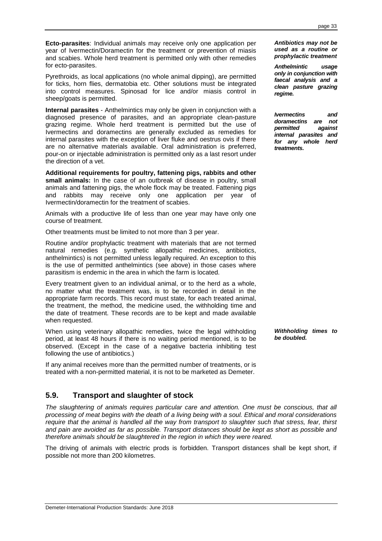**Ecto-parasites**: Individual animals may receive only one application per year of Ivermectin/Doramectin for the treatment or prevention of miasis and scabies. Whole herd treatment is permitted only with other remedies for ecto-parasites.

Pyrethroids, as local applications (no whole animal dipping), are permitted for ticks, horn flies, dermatobia etc. Other solutions must be integrated into control measures. Spinosad for lice and/or miasis control in sheep/goats is permitted.

**Internal parasites** - Anthelmintics may only be given in conjunction with a diagnosed presence of parasites, and an appropriate clean-pasture grazing regime. Whole herd treatment is permitted but the use of Ivermectins and doramectins are generally excluded as remedies for internal parasites with the exception of liver fluke and oestrus ovis if there are no alternative materials available. Oral administration is preferred, pour-on or injectable administration is permitted only as a last resort under the direction of a vet.

**Additional requirements for poultry, fattening pigs, rabbits and other small animals:** In the case of an outbreak of disease in poultry, small animals and fattening pigs, the whole flock may be treated. Fattening pigs and rabbits may receive only one application per year of Ivermectin/doramectin for the treatment of scabies.

Animals with a productive life of less than one year may have only one course of treatment.

Other treatments must be limited to not more than 3 per year.

Routine and/or prophylactic treatment with materials that are not termed natural remedies (e.g. synthetic allopathic medicines, antibiotics, anthelmintics) is not permitted unless legally required. An exception to this is the use of permitted anthelmintics (see above) in those cases where parasitism is endemic in the area in which the farm is located.

Every treatment given to an individual animal, or to the herd as a whole, no matter what the treatment was, is to be recorded in detail in the appropriate farm records. This record must state, for each treated animal, the treatment, the method, the medicine used, the withholding time and the date of treatment. These records are to be kept and made available when requested.

When using veterinary allopathic remedies, twice the legal withholding period, at least 48 hours if there is no waiting period mentioned, is to be observed. (Except in the case of a negative bacteria inhibiting test following the use of antibiotics.)

If any animal receives more than the permitted number of treatments, or is treated with a non-permitted material, it is not to be marketed as Demeter.

# **5.9. Transport and slaughter of stock**

The slaughtering of animals requires particular care and attention. One must be conscious, that all processing of meat begins with the death of a living being with a soul. Ethical and moral considerations require that the animal is handled all the way from transport to slaughter such that stress, fear, thirst and pain are avoided as far as possible. Transport distances should be kept as short as possible and therefore animals should be slaughtered in the region in which they were reared.

The driving of animals with electric prods is forbidden. Transport distances shall be kept short, if possible not more than 200 kilometres.

**Antibiotics may not be used as a routine or prophylactic treatment** 

**Anthelmintic usage only in conjunction with faecal analysis and a clean pasture grazing regime.** 

**Ivermectins and doramectins are not permitted against internal parasites and for any whole herd treatments.** 

**Withholding times to be doubled.**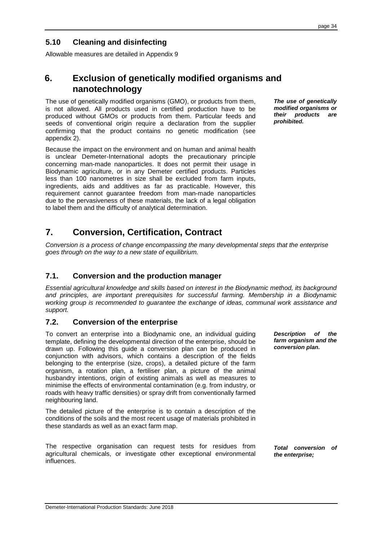# **5.10 Cleaning and disinfecting**

Allowable measures are detailed in Appendix 9

# **6. Exclusion of genetically modified organisms and nanotechnology**

The use of genetically modified organisms (GMO), or products from them, is not allowed. All products used in certified production have to be produced without GMOs or products from them. Particular feeds and seeds of conventional origin require a declaration from the supplier confirming that the product contains no genetic modification (see appendix 2).

Because the impact on the environment and on human and animal health is unclear Demeter-International adopts the precautionary principle concerning man-made nanoparticles. It does not permit their usage in Biodynamic agriculture, or in any Demeter certified products. Particles less than 100 nanometres in size shall be excluded from farm inputs, ingredients, aids and additives as far as practicable. However, this requirement cannot guarantee freedom from man-made nanoparticles due to the pervasiveness of these materials, the lack of a legal obligation to label them and the difficulty of analytical determination.

**The use of genetically modified organisms or their products are prohibited.** 

**Description of the farm organism and the conversion plan.** 

# **7. Conversion, Certification, Contract**

Conversion is a process of change encompassing the many developmental steps that the enterprise goes through on the way to a new state of equilibrium.

# **7.1. Conversion and the production manager**

Essential agricultural knowledge and skills based on interest in the Biodynamic method, its background and principles, are important prerequisites for successful farming. Membership in a Biodynamic working group is recommended to guarantee the exchange of ideas, communal work assistance and support.

# **7.2. Conversion of the enterprise**

To convert an enterprise into a Biodynamic one, an individual guiding template, defining the developmental direction of the enterprise, should be drawn up. Following this guide a conversion plan can be produced in conjunction with advisors, which contains a description of the fields belonging to the enterprise (size, crops), a detailed picture of the farm organism, a rotation plan, a fertiliser plan, a picture of the animal husbandry intentions, origin of existing animals as well as measures to minimise the effects of environmental contamination (e.g. from industry, or roads with heavy traffic densities) or spray drift from conventionally farmed neighbouring land.

The detailed picture of the enterprise is to contain a description of the conditions of the soils and the most recent usage of materials prohibited in these standards as well as an exact farm map.

The respective organisation can request tests for residues from agricultural chemicals, or investigate other exceptional environmental influences. **Total conversion of the enterprise;**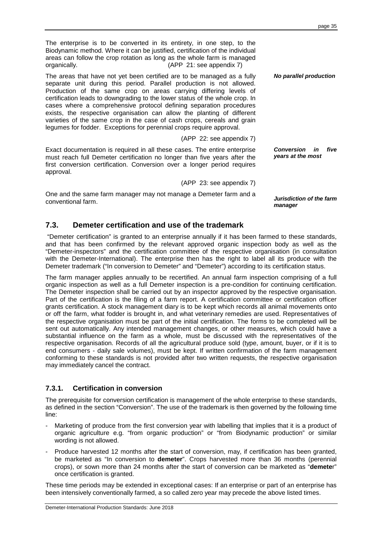The enterprise is to be converted in its entirety, in one step, to the Biodynamic method. Where it can be justified, certification of the individual areas can follow the crop rotation as long as the whole farm is managed organically. (APP 21: see appendix 7)

The areas that have not yet been certified are to be managed as a fully separate unit during this period. Parallel production is not allowed. Production of the same crop on areas carrying differing levels of certification leads to downgrading to the lower status of the whole crop. In cases where a comprehensive protocol defining separation procedures exists, the respective organisation can allow the planting of different varieties of the same crop in the case of cash crops, cereals and grain legumes for fodder. Exceptions for perennial crops require approval.

(APP 22: see appendix 7)

Exact documentation is required in all these cases. The entire enterprise must reach full Demeter certification no longer than five years after the first conversion certification. Conversion over a longer period requires approval. **Conversion in five years at the most** 

(APP 23: see appendix 7)

One and the same farm manager may not manage a Demeter farm and a conventional farm. **Jurisdiction of the farm manager** 

# **7.3. Demeter certification and use of the trademark**

 "Demeter certification" is granted to an enterprise annually if it has been farmed to these standards, and that has been confirmed by the relevant approved organic inspection body as well as the "Demeter-inspectors" and the certification committee of the respective organisation (in consultation with the Demeter-International). The enterprise then has the right to label all its produce with the Demeter trademark ("In conversion to Demeter" and "Demeter") according to its certification status.

The farm manager applies annually to be recertified. An annual farm inspection comprising of a full organic inspection as well as a full Demeter inspection is a pre-condition for continuing certification. The Demeter inspection shall be carried out by an inspector approved by the respective organisation. Part of the certification is the filing of a farm report. A certification committee or certification officer grants certification. A stock management diary is to be kept which records all animal movements onto or off the farm, what fodder is brought in, and what veterinary remedies are used. Representatives of the respective organisation must be part of the initial certification. The forms to be completed will be sent out automatically. Any intended management changes, or other measures, which could have a substantial influence on the farm as a whole, must be discussed with the representatives of the respective organisation. Records of all the agricultural produce sold (type, amount, buyer, or if it is to end consumers - daily sale volumes), must be kept. If written confirmation of the farm management conforming to these standards is not provided after two written requests, the respective organisation may immediately cancel the contract.

# **7.3.1. Certification in conversion**

The prerequisite for conversion certification is management of the whole enterprise to these standards, as defined in the section "Conversion". The use of the trademark is then governed by the following time line:

- Marketing of produce from the first conversion year with labelling that implies that it is a product of organic agriculture e.g. "from organic production" or "from Biodynamic production" or similar wording is not allowed.
- Produce harvested 12 months after the start of conversion, may, if certification has been granted, be marketed as "In conversion to **demeter**". Crops harvested more than 36 months (perennial crops), or sown more than 24 months after the start of conversion can be marketed as "**demete**r" once certification is granted.

These time periods may be extended in exceptional cases: If an enterprise or part of an enterprise has been intensively conventionally farmed, a so called zero year may precede the above listed times.

**No parallel production**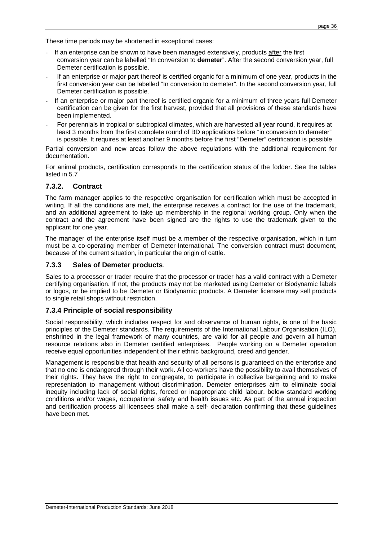These time periods may be shortened in exceptional cases:

- If an enterprise can be shown to have been managed extensively, products after the first conversion year can be labelled "In conversion to **demeter**". After the second conversion year, full Demeter certification is possible.
- If an enterprise or major part thereof is certified organic for a minimum of one year, products in the first conversion year can be labelled "In conversion to demeter". In the second conversion year, full Demeter certification is possible.
- If an enterprise or major part thereof is certified organic for a minimum of three years full Demeter certification can be given for the first harvest, provided that all provisions of these standards have been implemented.
- For perennials in tropical or subtropical climates, which are harvested all year round, it requires at least 3 months from the first complete round of BD applications before "in conversion to demeter" is possible. It requires at least another 9 months before the first "Demeter" certification is possible

Partial conversion and new areas follow the above regulations with the additional requirement for documentation.

For animal products, certification corresponds to the certification status of the fodder. See the tables listed in 5.7

#### **7.3.2. Contract**

The farm manager applies to the respective organisation for certification which must be accepted in writing. If all the conditions are met, the enterprise receives a contract for the use of the trademark, and an additional agreement to take up membership in the regional working group. Only when the contract and the agreement have been signed are the rights to use the trademark given to the applicant for one year.

The manager of the enterprise itself must be a member of the respective organisation, which in turn must be a co-operating member of Demeter-International. The conversion contract must document, because of the current situation, in particular the origin of cattle.

#### **7.3.3 Sales of Demeter products**.

Sales to a processor or trader require that the processor or trader has a valid contract with a Demeter certifying organisation. If not, the products may not be marketed using Demeter or Biodynamic labels or logos, or be implied to be Demeter or Biodynamic products. A Demeter licensee may sell products to single retail shops without restriction.

# **7.3.4 Principle of social responsibility**

Social responsibility, which includes respect for and observance of human rights, is one of the basic principles of the Demeter standards. The requirements of the International Labour Organisation (ILO), enshrined in the legal framework of many countries, are valid for all people and govern all human resource relations also in Demeter certified enterprises. People working on a Demeter operation receive equal opportunities independent of their ethnic background, creed and gender.

Management is responsible that health and security of all persons is guaranteed on the enterprise and that no one is endangered through their work. All co-workers have the possibility to avail themselves of their rights. They have the right to congregate, to participate in collective bargaining and to make representation to management without discrimination. Demeter enterprises aim to eliminate social inequity including lack of social rights, forced or inappropriate child labour, below standard working conditions and/or wages, occupational safety and health issues etc. As part of the annual inspection and certification process all licensees shall make a self- declaration confirming that these guidelines have been met.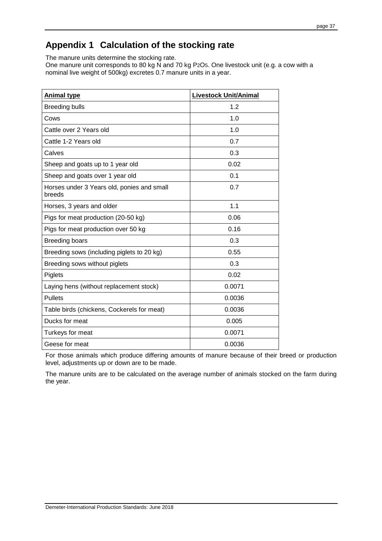# **Appendix 1 Calculation of the stocking rate**

The manure units determine the stocking rate.

One manure unit corresponds to 80 kg N and 70 kg P2O5. One livestock unit (e.g. a cow with a nominal live weight of 500kg) excretes 0.7 manure units in a year.

| <b>Animal type</b>                                   | <b>Livestock Unit/Animal</b> |
|------------------------------------------------------|------------------------------|
| <b>Breeding bulls</b>                                | 1.2                          |
| Cows                                                 | 1.0                          |
| Cattle over 2 Years old                              | 1.0                          |
| Cattle 1-2 Years old                                 | 0.7                          |
| Calves                                               | 0.3                          |
| Sheep and goats up to 1 year old                     | 0.02                         |
| Sheep and goats over 1 year old                      | 0.1                          |
| Horses under 3 Years old, ponies and small<br>breeds | 0.7                          |
| Horses, 3 years and older                            | 1.1                          |
| Pigs for meat production (20-50 kg)                  | 0.06                         |
| Pigs for meat production over 50 kg                  | 0.16                         |
| <b>Breeding boars</b>                                | 0.3                          |
| Breeding sows (including piglets to 20 kg)           | 0.55                         |
| Breeding sows without piglets                        | 0.3                          |
| Piglets                                              | 0.02                         |
| Laying hens (without replacement stock)              | 0.0071                       |
| <b>Pullets</b>                                       | 0.0036                       |
| Table birds (chickens, Cockerels for meat)           | 0.0036                       |
| Ducks for meat                                       | 0.005                        |
| Turkeys for meat                                     | 0.0071                       |
| Geese for meat                                       | 0.0036                       |

For those animals which produce differing amounts of manure because of their breed or production level, adjustments up or down are to be made.

The manure units are to be calculated on the average number of animals stocked on the farm during the year.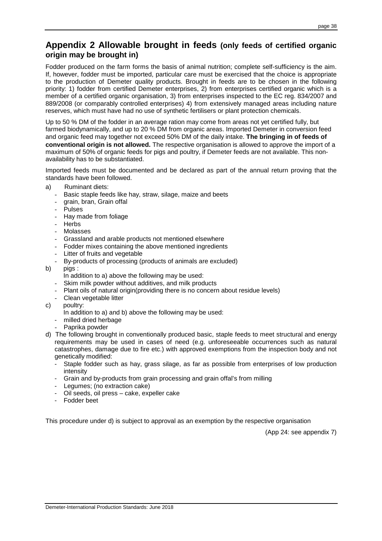# **Appendix 2 Allowable brought in feeds (only feeds of certified organic origin may be brought in)**

Fodder produced on the farm forms the basis of animal nutrition; complete self-sufficiency is the aim. If, however, fodder must be imported, particular care must be exercised that the choice is appropriate to the production of Demeter quality products. Brought in feeds are to be chosen in the following priority: 1) fodder from certified Demeter enterprises, 2) from enterprises certified organic which is a member of a certified organic organisation, 3) from enterprises inspected to the EC reg. 834/2007 and 889/2008 (or comparably controlled enterprises) 4) from extensively managed areas including nature reserves, which must have had no use of synthetic fertilisers or plant protection chemicals.

Up to 50 % DM of the fodder in an average ration may come from areas not yet certified fully, but farmed biodynamically, and up to 20 % DM from organic areas. Imported Demeter in conversion feed and organic feed may together not exceed 50% DM of the daily intake. **The bringing in of feeds of conventional origin is not allowed.** The respective organisation is allowed to approve the import of a maximum of 50% of organic feeds for pigs and poultry, if Demeter feeds are not available. This nonavailability has to be substantiated.

Imported feeds must be documented and be declared as part of the annual return proving that the standards have been followed.

- a) Ruminant diets:
	- Basic staple feeds like hay, straw, silage, maize and beets
	- grain, bran, Grain offal
	- **Pulses**
	- Hay made from foliage
	- Herbs
	- Molasses
	- Grassland and arable products not mentioned elsewhere
	- Fodder mixes containing the above mentioned ingredients
	- Litter of fruits and vegetable
	- By-products of processing (products of animals are excluded)
- b) pigs :
	- In addition to a) above the following may be used:
	- Skim milk powder without additives, and milk products
	- Plant oils of natural origin(providing there is no concern about residue levels)
	- Clean vegetable litter
- c) poultry:
	- In addition to a) and b) above the following may be used:
	- milled dried herbage
	- Paprika powder
- d) The following brought in conventionally produced basic, staple feeds to meet structural and energy requirements may be used in cases of need (e.g. unforeseeable occurrences such as natural catastrophes, damage due to fire etc.) with approved exemptions from the inspection body and not genetically modified:
	- Staple fodder such as hay, grass silage, as far as possible from enterprises of low production intensity
	- Grain and by-products from grain processing and grain offal's from milling
	- Legumes: (no extraction cake)
	- Oil seeds, oil press cake, expeller cake
	- Fodder beet

This procedure under d) is subject to approval as an exemption by the respective organisation

(App 24: see appendix 7)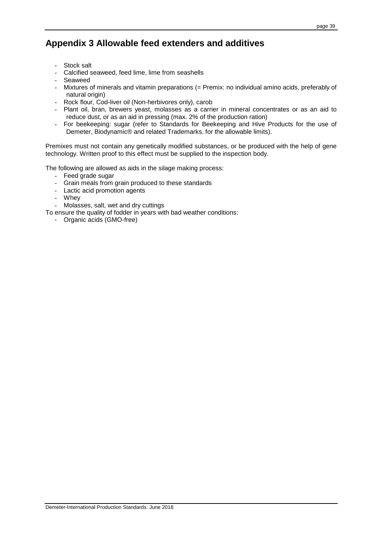# **Appendix 3 Allowable feed extenders and additives**

- Stock salt
- Calcified seaweed, feed lime, lime from seashells
- Seaweed
- Mixtures of minerals and vitamin preparations (= Premix: no individual amino acids, preferably of natural origin)
- Rock flour, Cod-liver oil (Non-herbivores only), carob
- Plant oil, bran, brewers yeast, molasses as a carrier in mineral concentrates or as an aid to reduce dust, or as an aid in pressing (max. 2% of the production ration)
- For beekeeping: sugar (refer to Standards for Beekeeping and Hive Products for the use of Demeter, Biodynamic® and related Trademarks. for the allowable limits).

Premixes must not contain any genetically modified substances, or be produced with the help of gene technology. Written proof to this effect must be supplied to the inspection body.

The following are allowed as aids in the silage making process:

- Feed grade sugar
- Grain meals from grain produced to these standards
- Lactic acid promotion agents
- Whey
- Molasses, salt, wet and dry cuttings
- To ensure the quality of fodder in years with bad weather conditions:
	- Organic acids (GMO-free)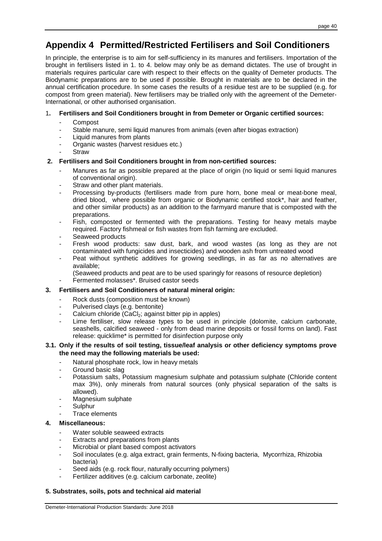# **Appendix 4 Permitted/Restricted Fertilisers and Soil Conditioners**

In principle, the enterprise is to aim for self-sufficiency in its manures and fertilisers. Importation of the brought in fertilisers listed in 1. to 4. below may only be as demand dictates. The use of brought in materials requires particular care with respect to their effects on the quality of Demeter products. The Biodynamic preparations are to be used if possible. Brought in materials are to be declared in the annual certification procedure. In some cases the results of a residue test are to be supplied (e.g. for compost from green material). New fertilisers may be trialled only with the agreement of the Demeter-International, or other authorised organisation.

# 1**. Fertilisers and Soil Conditioners brought in from Demeter or Organic certified sources:**

- **Compost**
- Stable manure, semi liquid manures from animals (even after biogas extraction)
- Liquid manures from plants
- Organic wastes (harvest residues etc.)
- **Straw**

# **2. Fertilisers and Soil Conditioners brought in from non-certified sources:**

- Manures as far as possible prepared at the place of origin (no liquid or semi liquid manures of conventional origin).
- Straw and other plant materials.
- Processing by-products (fertilisers made from pure horn, bone meal or meat-bone meal, dried blood, where possible from organic or Biodynamic certified stock\*, hair and feather, and other similar products) as an addition to the farmyard manure that is composted with the preparations.
- Fish, composted or fermented with the preparations. Testing for heavy metals maybe required. Factory fishmeal or fish wastes from fish farming are excluded.
- Seaweed products
- Fresh wood products: saw dust, bark, and wood wastes (as long as they are not contaminated with fungicides and insecticides) and wooden ash from untreated wood
- Peat without synthetic additives for growing seedlings, in as far as no alternatives are available;
- (Seaweed products and peat are to be used sparingly for reasons of resource depletion)
- Fermented molasses\*. Bruised castor seeds

# **3. Fertilisers and Soil Conditioners of natural mineral origin:**

- Rock dusts (composition must be known)
- Pulverised clays (e.g. bentonite)
- Calcium chloride (CaCl<sub>2</sub>; against bitter pip in apples)
- Lime fertiliser, slow release types to be used in principle (dolomite, calcium carbonate, seashells, calcified seaweed - only from dead marine deposits or fossil forms on land). Fast release: quicklime\* is permitted for disinfection purpose only

#### **3.1. Only if the results of soil testing, tissue/leaf analysis or other deficiency symptoms prove the need may the following materials be used:**

- Natural phosphate rock, low in heavy metals
- Ground basic slag
- Potassium salts, Potassium magnesium sulphate and potassium sulphate (Chloride content max 3%), only minerals from natural sources (only physical separation of the salts is allowed).
- Magnesium sulphate
- Sulphur
- Trace elements

# **4. Miscellaneous:**

- Water soluble seaweed extracts
- Extracts and preparations from plants
- Microbial or plant based compost activators
- Soil inoculates (e.g. alga extract, grain ferments, N-fixing bacteria, Mycorrhiza, Rhizobia bacteria)
- Seed aids (e.g. rock flour, naturally occurring polymers)
- Fertilizer additives (e.g. calcium carbonate, zeolite)

#### **5. Substrates, soils, pots and technical aid material**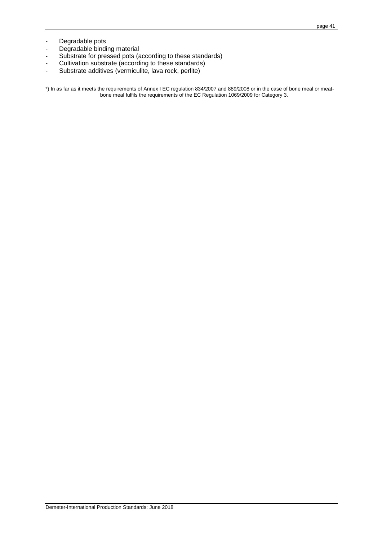- Degradable pots
- Degradable binding material
- Substrate for pressed pots (according to these standards)
- Cultivation substrate (according to these standards)
- Substrate additives (vermiculite, lava rock, perlite)

\*) In as far as it meets the requirements of Annex I EC regulation 834/2007 and 889/2008 or in the case of bone meal or meatbone meal fulfils the requirements of the EC Regulation 1069/2009 for Category 3.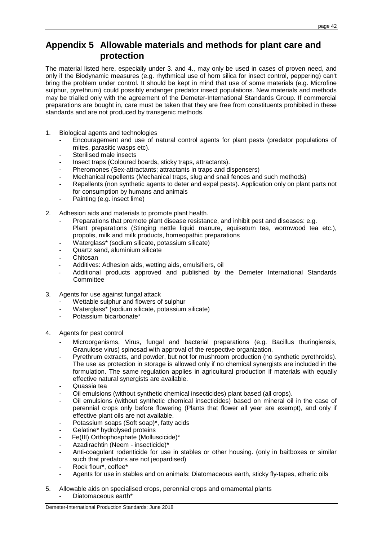# **Appendix 5 Allowable materials and methods for plant care and protection**

The material listed here, especially under 3. and 4., may only be used in cases of proven need, and only if the Biodynamic measures (e.g. rhythmical use of horn silica for insect control, peppering) can't bring the problem under control. It should be kept in mind that use of some materials (e.g. Microfine sulphur, pyrethrum) could possibly endanger predator insect populations. New materials and methods may be trialled only with the agreement of the Demeter-International Standards Group. If commercial preparations are bought in, care must be taken that they are free from constituents prohibited in these standards and are not produced by transgenic methods.

- 1. Biological agents and technologies
	- Encouragement and use of natural control agents for plant pests (predator populations of mites, parasitic wasps etc).
	- Sterilised male insects
	- Insect traps (Coloured boards, sticky traps, attractants).
	- Pheromones (Sex-attractants; attractants in traps and dispensers)
	- Mechanical repellents (Mechanical traps, slug and snail fences and such methods)
	- Repellents (non synthetic agents to deter and expel pests). Application only on plant parts not for consumption by humans and animals
	- Painting (e.g. insect lime)
- 2. Adhesion aids and materials to promote plant health.
	- Preparations that promote plant disease resistance, and inhibit pest and diseases: e.g. Plant preparations (Stinging nettle liquid manure, equisetum tea, wormwood tea etc.), propolis, milk and milk products, homeopathic preparations
	- Waterglass\* (sodium silicate, potassium silicate)
	- Quartz sand, aluminium silicate
	- **Chitosan**
	- Additives: Adhesion aids, wetting aids, emulsifiers, oil
	- Additional products approved and published by the Demeter International Standards **Committee**
- 3. Agents for use against fungal attack
	- Wettable sulphur and flowers of sulphur
	- Waterglass\* (sodium silicate, potassium silicate)
	- Potassium bicarbonate\*
- 4. Agents for pest control
	- Microorganisms, Virus, fungal and bacterial preparations (e.g. Bacillus thuringiensis, Granulose virus) spinosad with approval of the respective organization.
	- Pyrethrum extracts, and powder, but not for mushroom production (no synthetic pyrethroids). The use as protection in storage is allowed only if no chemical synergists are included in the formulation. The same regulation applies in agricultural production if materials with equally effective natural synergists are available.
	- Quassia tea
	- Oil emulsions (without synthetic chemical insecticides) plant based (all crops).
	- Oil emulsions (without synthetic chemical insecticides) based on mineral oil in the case of perennial crops only before flowering (Plants that flower all year are exempt), and only if effective plant oils are not available.
	- Potassium soaps (Soft soap)\*, fatty acids
	- Gelatine\* hydrolysed proteins
	- Fe(III) Orthophosphate (Molluscicide)\*
	- Azadirachtin (Neem insecticide)\*
	- Anti-coagulant rodenticide for use in stables or other housing. (only in baitboxes or similar such that predators are not jeopardised)
	- Rock flour\*, coffee\*
	- Agents for use in stables and on animals: Diatomaceous earth, sticky fly-tapes, etheric oils
- 5. Allowable aids on specialised crops, perennial crops and ornamental plants
	- Diatomaceous earth\*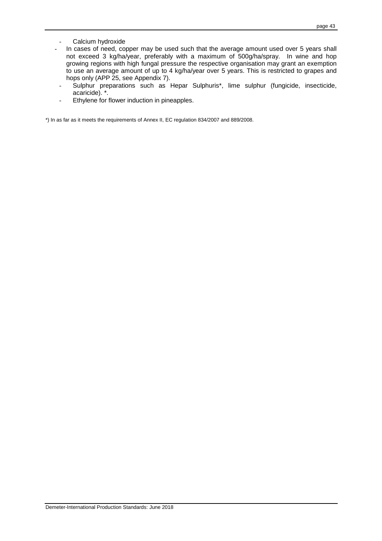- Calcium hydroxide
- In cases of need, copper may be used such that the average amount used over 5 years shall not exceed 3 kg/ha/year, preferably with a maximum of 500g/ha/spray. In wine and hop growing regions with high fungal pressure the respective organisation may grant an exemption to use an average amount of up to 4 kg/ha/year over 5 years. This is restricted to grapes and hops only (APP 25, see Appendix 7).
- Sulphur preparations such as Hepar Sulphuris\*, lime sulphur (fungicide, insecticide, acaricide). \*.
- Ethylene for flower induction in pineapples.

\*) In as far as it meets the requirements of Annex II, EC regulation 834/2007 and 889/2008.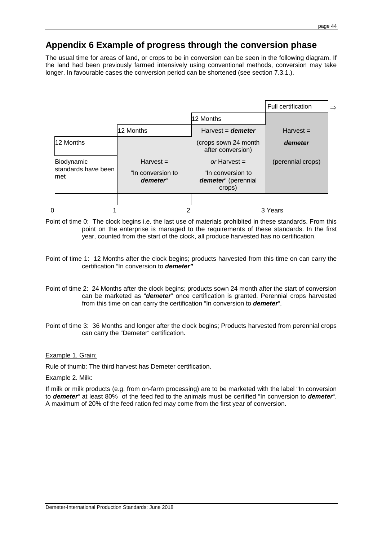# **Appendix 6 Example of progress through the conversion phase**

The usual time for areas of land, or crops to be in conversion can be seen in the following diagram. If the land had been previously farmed intensively using conventional methods, conversion may take longer. In favourable cases the conversion period can be shortened (see section 7.3.1.).

|                                          |                               |                                                    | <b>Full certification</b> |  |
|------------------------------------------|-------------------------------|----------------------------------------------------|---------------------------|--|
|                                          |                               | 12 Months                                          |                           |  |
|                                          | 12 Months                     | Harvest = $d$ emeter                               | $Harvest =$               |  |
| 12 Months                                |                               | (crops sown 24 month<br>after conversion)          | demeter                   |  |
| Biodynamic<br>standards have been<br>met | $Harvest =$                   | or Harvest $=$                                     | (perennial crops)         |  |
|                                          | "In conversion to<br>demeter" | "In conversion to<br>demeter" (perennial<br>crops) |                           |  |
|                                          |                               |                                                    |                           |  |
| $\Omega$                                 | າ                             |                                                    | 3 Years                   |  |

Point of time 0: The clock begins i.e. the last use of materials prohibited in these standards. From this point on the enterprise is managed to the requirements of these standards. In the first year, counted from the start of the clock, all produce harvested has no certification.

- Point of time 1: 12 Months after the clock begins; products harvested from this time on can carry the certification "In conversion to **demeter"**
- Point of time 2: 24 Months after the clock begins; products sown 24 month after the start of conversion can be marketed as "**demeter**" once certification is granted. Perennial crops harvested from this time on can carry the certification "In conversion to **demeter**".
- Point of time 3: 36 Months and longer after the clock begins; Products harvested from perennial crops can carry the "Demeter" certification.

#### Example 1. Grain:

Rule of thumb: The third harvest has Demeter certification.

#### Example 2. Milk:

If milk or milk products (e.g. from on-farm processing) are to be marketed with the label "In conversion to **demeter**" at least 80% of the feed fed to the animals must be certified "In conversion to **demeter**". A maximum of 20% of the feed ration fed may come from the first year of conversion.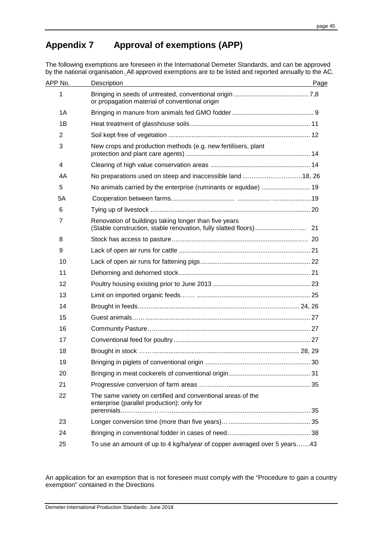# **Appendix 7 Approval of exemptions (APP)**

The following exemptions are foreseen in the International Demeter Standards, and can be approved by the national organisation. All approved exemptions are to be listed and reported annually to the AC.

| APP No.        | Description                                                                                               | Page |  |
|----------------|-----------------------------------------------------------------------------------------------------------|------|--|
| 1              | or propagation material of conventional origin                                                            |      |  |
| 1A             |                                                                                                           |      |  |
| 1B             |                                                                                                           |      |  |
| 2              |                                                                                                           |      |  |
| 3              | New crops and production methods (e.g. new fertilisers, plant                                             |      |  |
| 4              |                                                                                                           |      |  |
| 4A             | No preparations used on steep and inaccessible land 18, 26                                                |      |  |
| 5              |                                                                                                           |      |  |
| 5A             |                                                                                                           |      |  |
| 6              |                                                                                                           |      |  |
| $\overline{7}$ | Renovation of buildings taking longer than five years                                                     |      |  |
| 8              |                                                                                                           |      |  |
| 9              |                                                                                                           |      |  |
| 10             |                                                                                                           |      |  |
| 11             |                                                                                                           |      |  |
| 12             |                                                                                                           |      |  |
| 13             |                                                                                                           |      |  |
| 14             |                                                                                                           |      |  |
| 15             |                                                                                                           |      |  |
| 16             |                                                                                                           |      |  |
| 17             |                                                                                                           |      |  |
| 18             |                                                                                                           |      |  |
| 19             |                                                                                                           |      |  |
| 20             |                                                                                                           |      |  |
| 21             |                                                                                                           |      |  |
| 22             | The same variety on certified and conventional areas of the<br>enterprise (parallel production): only for |      |  |
| 23             |                                                                                                           |      |  |
| 24             |                                                                                                           |      |  |
| 25             | To use an amount of up to 4 kg/ha/year of copper averaged over 5 years43                                  |      |  |
|                |                                                                                                           |      |  |

An application for an exemption that is not foreseen must comply with the "Procedure to gain a country exemption" contained in the Directions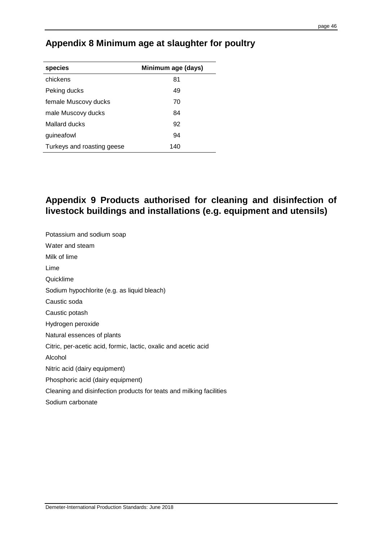# **Appendix 8 Minimum age at slaughter for poultry**

| species                    | Minimum age (days) |  |  |
|----------------------------|--------------------|--|--|
| chickens                   | 81                 |  |  |
| Peking ducks               | 49                 |  |  |
| female Muscovy ducks       | 70                 |  |  |
| male Muscovy ducks         | 84                 |  |  |
| Mallard ducks              | 92                 |  |  |
| guineafowl                 | 94                 |  |  |
| Turkeys and roasting geese | 140                |  |  |

# **Appendix 9 Products authorised for cleaning and disinfection of livestock buildings and installations (e.g. equipment and utensils)**

Potassium and sodium soap Water and steam Milk of lime Lime Quicklime Sodium hypochlorite (e.g. as liquid bleach) Caustic soda Caustic potash Hydrogen peroxide Natural essences of plants Citric, per-acetic acid, formic, lactic, oxalic and acetic acid Alcohol Nitric acid (dairy equipment) Phosphoric acid (dairy equipment) Cleaning and disinfection products for teats and milking facilities Sodium carbonate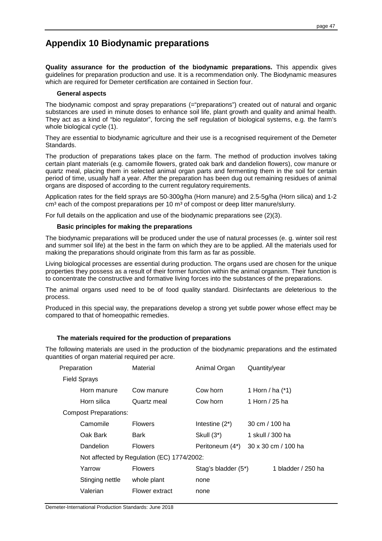# **Appendix 10 Biodynamic preparations**

**Quality assurance for the production of the biodynamic preparations.** This appendix gives guidelines for preparation production and use. It is a recommendation only. The Biodynamic measures which are required for Demeter certification are contained in Section four.

#### **General aspects**

The biodynamic compost and spray preparations (="preparations") created out of natural and organic substances are used in minute doses to enhance soil life, plant growth and quality and animal health. They act as a kind of "bio regulator", forcing the self regulation of biological systems, e.g. the farm's whole biological cycle (1).

They are essential to biodynamic agriculture and their use is a recognised requirement of the Demeter Standards.

The production of preparations takes place on the farm. The method of production involves taking certain plant materials (e.g. camomile flowers, grated oak bark and dandelion flowers), cow manure or quartz meal, placing them in selected animal organ parts and fermenting them in the soil for certain period of time, usually half a year. After the preparation has been dug out remaining residues of animal organs are disposed of according to the current regulatory requirements.

Application rates for the field sprays are 50-300g/ha (Horn manure) and 2.5-5g/ha (Horn silica) and 1-2  $\text{cm}^3$  each of the compost preparations per 10  $\text{m}^3$  of compost or deep litter manure/slurry.

For full details on the application and use of the biodynamic preparations see (2)(3).

#### **Basic principles for making the preparations**

The biodynamic preparations will be produced under the use of natural processes (e. g. winter soil rest and summer soil life) at the best in the farm on which they are to be applied. All the materials used for making the preparations should originate from this farm as far as possible.

Living biological processes are essential during production. The organs used are chosen for the unique properties they possess as a result of their former function within the animal organism. Their function is to concentrate the constructive and formative living forces into the substances of the preparations.

The animal organs used need to be of food quality standard. Disinfectants are deleterious to the process.

Produced in this special way, the preparations develop a strong yet subtle power whose effect may be compared to that of homeopathic remedies.

#### **The materials required for the production of preparations**

The following materials are used in the production of the biodynamic preparations and the estimated quantities of organ material required per acre.

| Preparation                  | Material                                   | Animal Organ        | Quantity/year       |  |  |  |  |
|------------------------------|--------------------------------------------|---------------------|---------------------|--|--|--|--|
| <b>Field Sprays</b>          |                                            |                     |                     |  |  |  |  |
| Horn manure                  | Cow manure                                 | Cow horn            | 1 Horn / ha $(*)$   |  |  |  |  |
| Horn silica                  | Quartz meal                                | Cow horn            | 1 Horn / 25 ha      |  |  |  |  |
| <b>Compost Preparations:</b> |                                            |                     |                     |  |  |  |  |
| Camomile                     | <b>Flowers</b>                             | Intestine $(2^*)$   | 30 cm $/$ 100 ha    |  |  |  |  |
| Oak Bark                     | Bark                                       | Skull $(3^*)$       | 1 skull / 300 ha    |  |  |  |  |
| Dandelion                    | <b>Flowers</b>                             | Peritoneum (4*)     | 30 x 30 cm / 100 ha |  |  |  |  |
|                              | Not affected by Regulation (EC) 1774/2002: |                     |                     |  |  |  |  |
| Yarrow                       | <b>Flowers</b>                             | Stag's bladder (5*) | 1 bladder / 250 ha  |  |  |  |  |
| Stinging nettle              | whole plant                                | none                |                     |  |  |  |  |
| Valerian                     | Flower extract                             | none                |                     |  |  |  |  |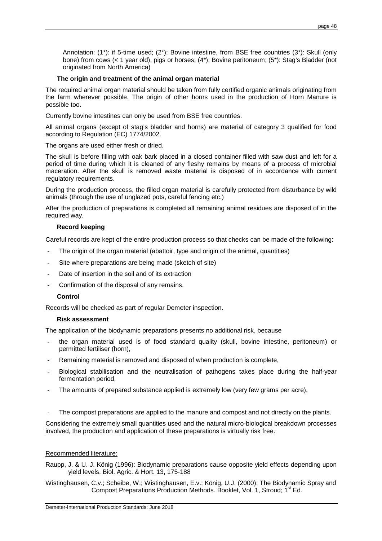Annotation: (1\*): if 5-time used; (2\*): Bovine intestine, from BSE free countries (3\*): Skull (only bone) from cows (< 1 year old), pigs or horses; (4\*): Bovine peritoneum; (5\*): Stag's Bladder (not originated from North America)

#### **The origin and treatment of the animal organ material**

The required animal organ material should be taken from fully certified organic animals originating from the farm wherever possible. The origin of other horns used in the production of Horn Manure is possible too.

Currently bovine intestines can only be used from BSE free countries.

All animal organs (except of stag's bladder and horns) are material of category 3 qualified for food according to Regulation (EC) 1774/2002.

The organs are used either fresh or dried.

The skull is before filling with oak bark placed in a closed container filled with saw dust and left for a period of time during which it is cleaned of any fleshy remains by means of a process of microbial maceration. After the skull is removed waste material is disposed of in accordance with current regulatory requirements.

During the production process, the filled organ material is carefully protected from disturbance by wild animals (through the use of unglazed pots, careful fencing etc.)

After the production of preparations is completed all remaining animal residues are disposed of in the required way.

#### **Record keeping**

Careful records are kept of the entire production process so that checks can be made of the following:

- The origin of the organ material (abattoir, type and origin of the animal, quantities)
- Site where preparations are being made (sketch of site)
- Date of insertion in the soil and of its extraction
- Confirmation of the disposal of any remains.

#### **Control**

Records will be checked as part of regular Demeter inspection.

#### **Risk assessment**

The application of the biodynamic preparations presents no additional risk, because

- the organ material used is of food standard quality (skull, bovine intestine, peritoneum) or permitted fertiliser (horn),
- Remaining material is removed and disposed of when production is complete,
- Biological stabilisation and the neutralisation of pathogens takes place during the half-year fermentation period,
- The amounts of prepared substance applied is extremely low (very few grams per acre),
- The compost preparations are applied to the manure and compost and not directly on the plants.

Considering the extremely small quantities used and the natural micro-biological breakdown processes involved, the production and application of these preparations is virtually risk free.

#### Recommended literature:

Raupp, J. & U. J. König (1996): Biodynamic preparations cause opposite yield effects depending upon yield levels. Biol. Agric. & Hort. 13, 175-188

Wistinghausen, C.v.; Scheibe, W.; Wistinghausen, E.v.; König, U.J. (2000): The Biodynamic Spray and Compost Preparations Production Methods. Booklet, Vol. 1, Stroud: 1<sup>st</sup> Ed.